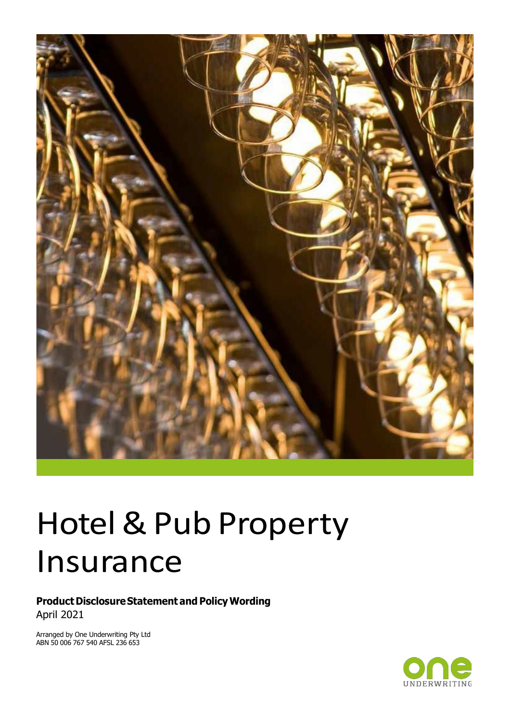

# Hotel & Pub Property Insurance

**Product Disclosure Statement and Policy Wording** April 2021

Arranged by One Underwriting Pty Ltd ABN 50 006 767 540 AFSL 236 653

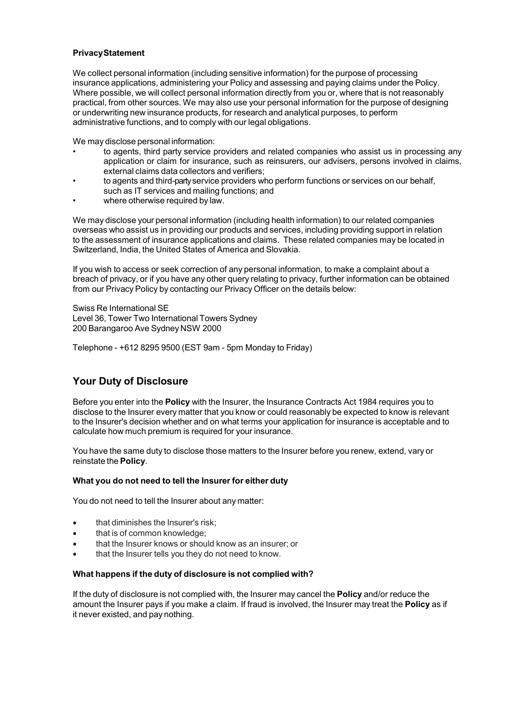#### **PrivacyStatement**

We collect personal information (including sensitive information) for the purpose of processing insurance applications, administering your Policy and assessing and paying claims under the Policy. Where possible, we will collect personal information directly from you or, where that is not reasonably practical, from other sources. We may also use your personal information for the purpose of designing or underwriting new insurance products, for research and analytical purposes, to perform administrative functions, and to comply with our legal obligations.

We may disclose personal information:

- to agents, third party service providers and related companies who assist us in processing any application or claim for insurance, such as reinsurers, our advisers, persons involved in claims, external claims data collectors and verifiers;
- to agents and third-partyservice providers who perform functions or services on our behalf, such as IT services and mailing functions; and
- where otherwise required by law.

We may disclose your personal information (including health information) to our related companies overseas who assist us in providing our products and services, including providing support in relation to the assessment of insurance applications and claims. These related companies may be located in Switzerland, India, the United States of America and Slovakia.

If you wish to access or seek correction of any personal information, to make a complaint about a breach of privacy, or if you have any other query relating to privacy, further information can be obtained from our Privacy Policy by contacting our Privacy Officer on the details below:

Swiss Re International SE Level 36, Tower Two International Towers Sydney 200 Barangaroo Ave Sydney NSW 2000

Telephone - +612 8295 9500 (EST 9am - 5pm Monday to Friday)

#### **Your Duty of Disclosure**

Before you enter into the **Policy** with the Insurer, the Insurance Contracts Act 1984 requires you to disclose to the Insurer every matter that you know or could reasonably be expected to know is relevant to the Insurer's decision whether and on what terms your application for insurance is acceptable and to calculate how much premium is required for your insurance.

You have the same duty to disclose those matters to the Insurer before you renew, extend, vary or reinstate the **Policy**.

#### **What you do not need to tell the Insurer for either duty**

You do not need to tell the Insurer about any matter:

- that diminishes the Insurer's risk;
- that is of common knowledge;
- that the Insurer knows or should know as an insurer; or
- that the Insurer tells you they do not need to know.

#### **What happens if the duty of disclosure is not complied with?**

If the duty of disclosure is not complied with, the Insurer may cancel the **Policy** and/or reduce the amount the Insurer pays if you make a claim. If fraud is involved, the Insurer may treat the **Policy** as if it never existed, and pay nothing.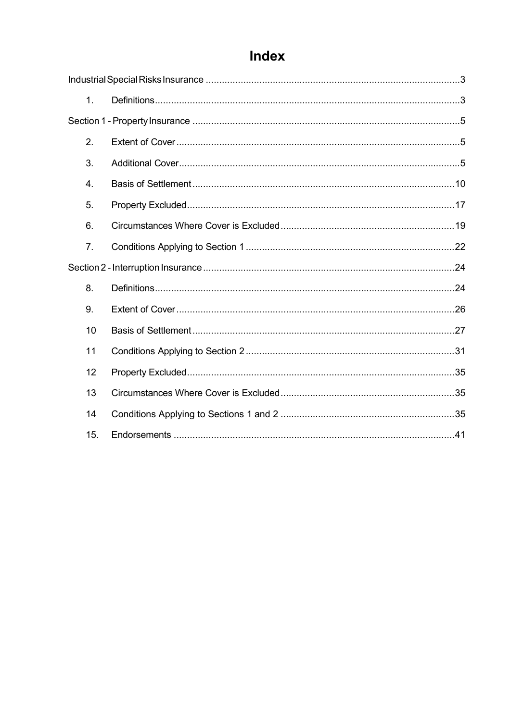## Index

| 1 <sub>1</sub> |  |
|----------------|--|
|                |  |
| 2.             |  |
| 3.             |  |
| 4.             |  |
| 5.             |  |
| 6.             |  |
| 7 <sub>1</sub> |  |
|                |  |
| 8.             |  |
| 9.             |  |
| 10             |  |
| 11             |  |
| 12             |  |
| 13             |  |
| 14             |  |
| 15.            |  |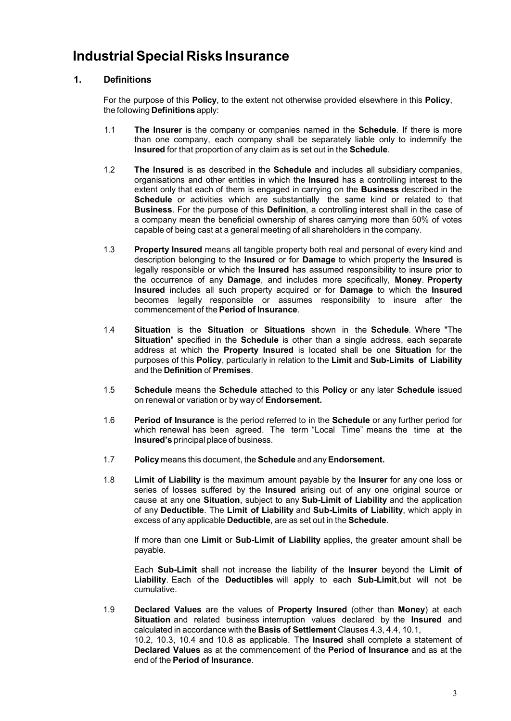## <span id="page-3-0"></span>**IndustrialSpecial Risks Insurance**

#### <span id="page-3-1"></span>**1. Definitions**

For the purpose of this **Policy**, to the extent not otherwise provided elsewhere in this **Policy**, the following **Definitions** apply:

- 1.1 **The Insurer** is the company or companies named in the **Schedule**. If there is more than one company, each company shall be separately liable only to indemnify the **Insured** for that proportion of any claim as is set out in the **Schedule**.
- 1.2 **The Insured** is as described in the **Schedule** and includes all subsidiary companies, organisations and other entitles in which the **Insured** has a controlling interest to the extent only that each of them is engaged in carrying on the **Business** described in the **Schedule** or activities which are substantially the same kind or related to that **Business**. For the purpose of this **Definition**, a controlling interest shall in the case of a company mean the beneficial ownership of shares carrying more than 50% of votes capable of being cast at a general meeting of all shareholders in the company.
- 1.3 **Property Insured** means all tangible property both real and personal of every kind and description belonging to the **Insured** or for **Damage** to which property the **Insured** is legally responsible or which the **Insured** has assumed responsibility to insure prior to the occurrence of any **Damage**, and includes more specifically, **Money**. **Property Insured** includes all such property acquired or for **Damage** to which the **Insured** becomes legally responsible or assumes responsibility to insure after the commencement of the **Period of Insurance**.
- 1.4 **Situation** is the **Situation** or **Situations** shown in the **Schedule**. Where "The **Situation**" specified in the **Schedule** is other than a single address, each separate address at which the **Property Insured** is located shall be one **Situation** for the purposes of this **Policy**, particularly in relation to the **Limit** and **Sub-Limits of Liability** and the **Definition** of **Premises**.
- 1.5 **Schedule** means the **Schedule** attached to this **Policy** or any later **Schedule** issued on renewal or variation or by way of **Endorsement.**
- 1.6 **Period of Insurance** is the period referred to in the **Schedule** or any further period for which renewal has been agreed. The term "Local Time" means the time at the **Insured's** principal place of business.
- 1.7 **Policy** means this document, the **Schedule** and any**Endorsement.**
- 1.8 **Limit of Liability** is the maximum amount payable by the **Insurer** for any one loss or series of losses suffered by the **Insured** arising out of any one original source or cause at any one **Situation**, subject to any **Sub-Limit of Liability** and the application of any **Deductible**. The **Limit of Liability** and **Sub-Limits of Liability**, which apply in excess of any applicable **Deductible**, are as set out in the **Schedule**.

If more than one **Limit** or **Sub-Limit of Liability** applies, the greater amount shall be payable.

Each **Sub-Limit** shall not increase the liability of the **Insurer** beyond the **Limit of Liability**. Each of the **Deductibles** will apply to each **Sub-Limit**,but will not be cumulative.

1.9 **Declared Values** are the values of **Property Insured** (other than **Money**) at each **Situation** and related business interruption values declared by the **Insured** and calculated in accordance with the **Basis of Settlement** Clauses 4.3, 4.4, 10.1, 10.2, 10.3, 10.4 and 10.8 as applicable. The **Insured** shall complete a statement of **Declared Values** as at the commencement of the **Period of Insurance** and as at the end of the **Period of Insurance**.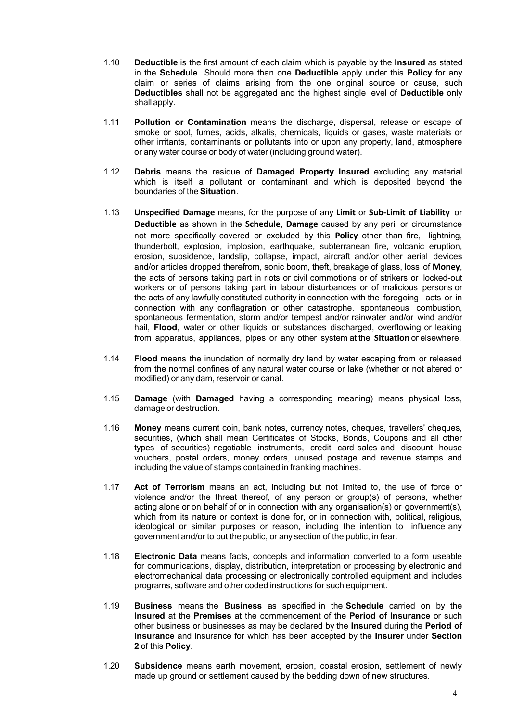- 1.10 **Deductible** is the first amount of each claim which is payable by the **Insured** as stated in the **Schedule**. Should more than one **Deductible** apply under this **Policy** for any claim or series of claims arising from the one original source or cause, such **Deductibles** shall not be aggregated and the highest single level of **Deductible** only shall apply.
- 1.11 **Pollution or Contamination** means the discharge, dispersal, release or escape of smoke or soot, fumes, acids, alkalis, chemicals, liquids or gases, waste materials or other irritants, contaminants or pollutants into or upon any property, land, atmosphere or any water course or body of water (including ground water).
- 1.12 **Debris** means the residue of **Damaged Property Insured** excluding any material which is itself a pollutant or contaminant and which is deposited beyond the boundaries of the **Situation**.
- 1.13 **Unspecified Damage** means, for the purpose of any **Limit** or **Sub-Limit of Liability** or **Deductible** as shown in the **Schedule**, **Damage** caused by any peril or circumstance not more specifically covered or excluded by this **Policy** other than fire, lightning, thunderbolt, explosion, implosion, earthquake, subterranean fire, volcanic eruption, erosion, subsidence, landslip, collapse, impact, aircraft and/or other aerial devices and/or articles dropped therefrom, sonic boom, theft, breakage of glass, loss of **Money**, the acts of persons taking part in riots or civil commotions or of strikers or locked-out workers or of persons taking part in labour disturbances or of malicious persons or the acts of any lawfully constituted authority in connection with the foregoing acts or in connection with any conflagration or other catastrophe, spontaneous combustion, spontaneous fermentation, storm and/or tempest and/or rainwater and/or wind and/or hail, **Flood**, water or other liquids or substances discharged, overflowing or leaking from apparatus, appliances, pipes or any other system at the **Situation** or elsewhere.
- 1.14 **Flood** means the inundation of normally dry land by water escaping from or released from the normal confines of any natural water course or lake (whether or not altered or modified) or any dam, reservoir or canal.
- 1.15 **Damage** (with **Damaged** having a corresponding meaning) means physical loss, damage or destruction.
- 1.16 **Money** means current coin, bank notes, currency notes, cheques, travellers' cheques, securities, (which shall mean Certificates of Stocks, Bonds, Coupons and all other types of securities) negotiable instruments, credit card sales and discount house vouchers, postal orders, money orders, unused postage and revenue stamps and including the value of stamps contained in franking machines.
- 1.17 **Act of Terrorism** means an act, including but not limited to, the use of force or violence and/or the threat thereof, of any person or group(s) of persons, whether acting alone or on behalf of or in connection with any organisation(s) or government(s), which from its nature or context is done for, or in connection with, political, religious, ideological or similar purposes or reason, including the intention to influence any government and/or to put the public, or any section of the public, in fear.
- 1.18 **Electronic Data** means facts, concepts and information converted to a form useable for communications, display, distribution, interpretation or processing by electronic and electromechanical data processing or electronically controlled equipment and includes programs, software and other coded instructions for such equipment.
- 1.19 **Business** means the **Business** as specified in the **Schedule** carried on by the **Insured** at the **Premises** at the commencement of the **Period of Insurance** or such other business or businesses as may be declared by the **Insured** during the **Period of Insurance** and insurance for which has been accepted by the **Insurer** under **Section 2** of this **Policy**.
- 1.20 **Subsidence** means earth movement, erosion, coastal erosion, settlement of newly made up ground or settlement caused by the bedding down of new structures.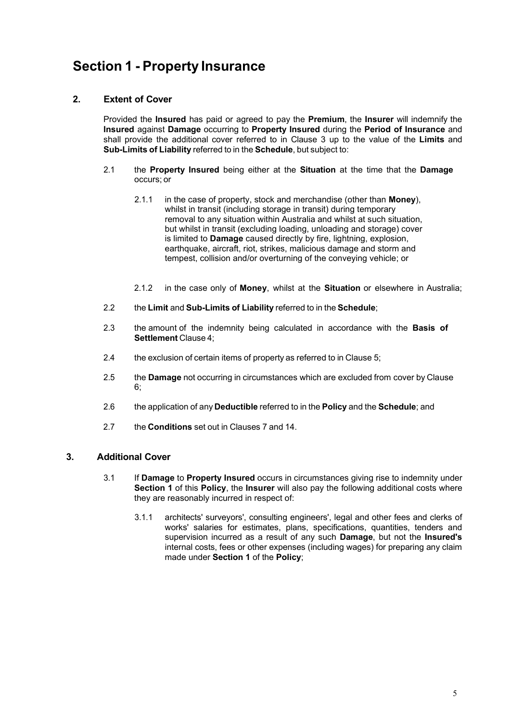## <span id="page-5-0"></span>**Section 1 - Property Insurance**

#### <span id="page-5-1"></span>**2. Extent of Cover**

Provided the **Insured** has paid or agreed to pay the **Premium**, the **Insurer** will indemnify the **Insured** against **Damage** occurring to **Property Insured** during the **Period of Insurance** and shall provide the additional cover referred to in Clause 3 up to the value of the **Limits** and **Sub-Limits of Liability** referred to in the **Schedule**, but subject to:

- 2.1 the **Property Insured** being either at the **Situation** at the time that the **Damage** occurs; or
	- 2.1.1 in the case of property, stock and merchandise (other than **Money**), whilst in transit (including storage in transit) during temporary removal to any situation within Australia and whilst at such situation, but whilst in transit (excluding loading, unloading and storage) cover is limited to **Damage** caused directly by fire, lightning, explosion, earthquake, aircraft, riot, strikes, malicious damage and storm and tempest, collision and/or overturning of the conveying vehicle; or
	- 2.1.2 in the case only of **Money**, whilst at the **Situation** or elsewhere in Australia;
- 2.2 the **Limit** and **Sub-Limits of Liability** referred to in the **Schedule**;
- 2.3 the amount of the indemnity being calculated in accordance with the **Basis of Settlement** Clause 4;
- 2.4 the exclusion of certain items of property as referred to in Clause 5;
- 2.5 the **Damage** not occurring in circumstances which are excluded from cover by Clause 6;
- 2.6 the application of any **Deductible** referred to in the **Policy** and the **Schedule**; and
- 2.7 the **Conditions** set out in Clauses 7 and 14.

#### <span id="page-5-2"></span>**3. Additional Cover**

- 3.1 If **Damage** to **Property Insured** occurs in circumstances giving rise to indemnity under **Section 1** of this **Policy**, the **Insurer** will also pay the following additional costs where they are reasonably incurred in respect of:
	- 3.1.1 architects' surveyors', consulting engineers', legal and other fees and clerks of works' salaries for estimates, plans, specifications, quantities, tenders and supervision incurred as a result of any such **Damage**, but not the **Insured's** internal costs, fees or other expenses (including wages) for preparing any claim made under **Section 1** of the **Policy**;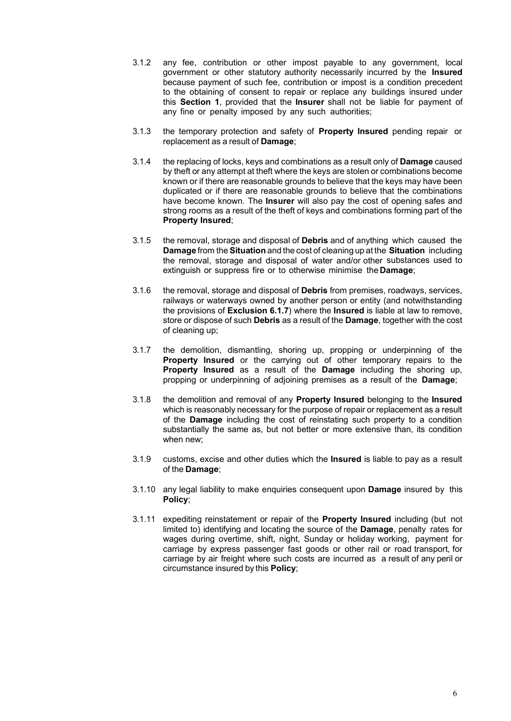- 3.1.2 any fee, contribution or other impost payable to any government, local government or other statutory authority necessarily incurred by the **Insured** because payment of such fee, contribution or impost is a condition precedent to the obtaining of consent to repair or replace any buildings insured under this **Section 1**, provided that the **Insurer** shall not be liable for payment of any fine or penalty imposed by any such authorities;
- 3.1.3 the temporary protection and safety of **Property Insured** pending repair or replacement as a result of **Damage**;
- 3.1.4 the replacing of locks, keys and combinations as a result only of **Damage** caused by theft or any attempt at theft where the keys are stolen or combinations become known or if there are reasonable grounds to believe that the keys may have been duplicated or if there are reasonable grounds to believe that the combinations have become known. The **Insurer** will also pay the cost of opening safes and strong rooms as a result of the theft of keys and combinations forming part of the **Property Insured**;
- 3.1.5 the removal, storage and disposal of **Debris** and of anything which caused the **Damage** from the **Situation** and the cost of cleaning up at the **Situation** including the removal, storage and disposal of water and/or other substances used to extinguish or suppress fire or to otherwise minimise the **Damage**;
- 3.1.6 the removal, storage and disposal of **Debris** from premises, roadways, services, railways or waterways owned by another person or entity (and notwithstanding the provisions of **Exclusion 6.1.7**) where the **Insured** is liable at law to remove, store or dispose of such **Debris** as a result of the **Damage**, together with the cost of cleaning up;
- 3.1.7 the demolition, dismantling, shoring up, propping or underpinning of the **Property Insured** or the carrying out of other temporary repairs to the **Property Insured** as a result of the **Damage** including the shoring up, propping or underpinning of adjoining premises as a result of the **Damage**;
- 3.1.8 the demolition and removal of any **Property Insured** belonging to the **Insured** which is reasonably necessary for the purpose of repair or replacement as a result of the **Damage** including the cost of reinstating such property to a condition substantially the same as, but not better or more extensive than, its condition when new;
- 3.1.9 customs, excise and other duties which the **Insured** is liable to pay as a result of the **Damage**;
- 3.1.10 any legal liability to make enquiries consequent upon **Damage** insured by this **Policy**;
- 3.1.11 expediting reinstatement or repair of the **Property Insured** including (but not limited to) identifying and locating the source of the **Damage**, penalty rates for wages during overtime, shift, night, Sunday or holiday working, payment for carriage by express passenger fast goods or other rail or road transport, for carriage by air freight where such costs are incurred as a result of any peril or circumstance insured by this **Policy**;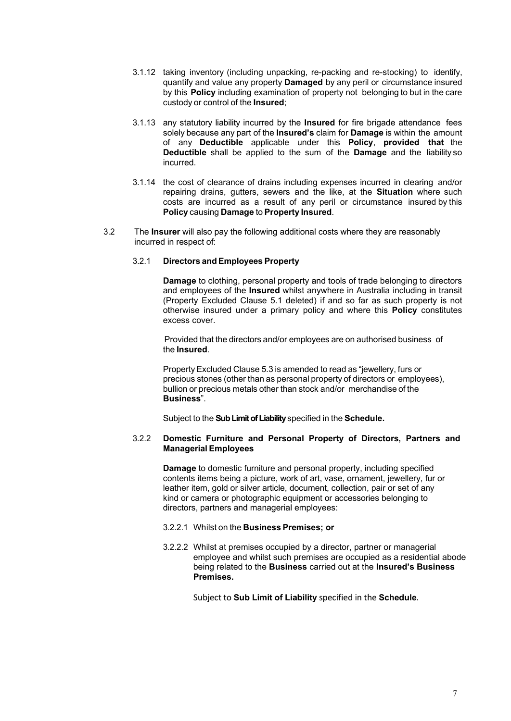- 3.1.12 taking inventory (including unpacking, re-packing and re-stocking) to identify, quantify and value any property **Damaged** by any peril or circumstance insured by this **Policy** including examination of property not belonging to but in the care custody or control of the **Insured**;
- 3.1.13 any statutory liability incurred by the **Insured** for fire brigade attendance fees solely because any part of the **Insured's** claim for **Damage** is within the amount of any **Deductible** applicable under this **Policy**, **provided that** the **Deductible** shall be applied to the sum of the **Damage** and the liability so incurred.
- 3.1.14 the cost of clearance of drains including expenses incurred in clearing and/or repairing drains, gutters, sewers and the like, at the **Situation** where such costs are incurred as a result of any peril or circumstance insured by this **Policy** causing **Damage** to **Property Insured**.
- 3.2 The **Insurer** will also pay the following additional costs where they are reasonably incurred in respect of:

#### 3.2.1 **Directors and Employees Property**

**Damage** to clothing, personal property and tools of trade belonging to directors and employees of the **Insured** whilst anywhere in Australia including in transit (Property Excluded Clause 5.1 deleted) if and so far as such property is not otherwise insured under a primary policy and where this **Policy** constitutes excess cover.

Provided that the directors and/or employees are on authorised business of the **Insured**.

PropertyExcluded Clause 5.3 is amended to read as "jewellery, furs or precious stones (other than as personal property of directors or employees), bullion or precious metals other than stock and/or merchandise of the **Business**".

Subject to the **Sub Limit of Liability**specified in the **Schedule.**

#### 3.2.2 **Domestic Furniture and Personal Property of Directors, Partners and Managerial Employees**

**Damage** to domestic furniture and personal property, including specified contents items being a picture, work of art, vase, ornament, jewellery, fur or leather item, gold or silver article, document, collection, pair or set of any kind or camera or photographic equipment or accessories belonging to directors, partners and managerial employees:

- 3.2.2.1 Whilst on the **Business Premises; or**
- 3.2.2.2 Whilst at premises occupied by a director, partner or managerial employee and whilst such premises are occupied as a residential abode being related to the **Business** carried out at the **Insured's Business Premises.**

Subject to **Sub Limit of Liability** specified in the **Schedule**.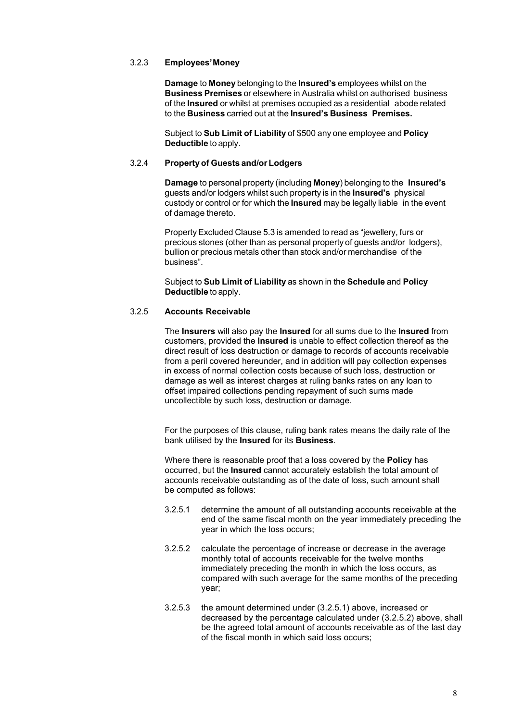#### 3.2.3 **Employees'Money**

**Damage** to **Money** belonging to the **Insured's** employees whilst on the **Business Premises** or elsewhere in Australia whilst on authorised business of the **Insured** or whilst at premises occupied as a residential abode related to the **Business** carried out at the **Insured's Business Premises.**

Subject to **Sub Limit of Liability** of \$500 any one employee and **Policy Deductible** to apply.

#### 3.2.4 **Property of Guests and/or Lodgers**

**Damage** to personal property (including **Money**) belonging to the **Insured's** guests and/or lodgers whilst such property is in the **Insured's** physical custody or control or for which the **Insured** may be legally liable in the event of damage thereto.

Property Excluded Clause 5.3 is amended to read as "jewellery, furs or precious stones (other than as personal property of guests and/or lodgers), bullion or precious metals other than stock and/or merchandise of the business".

Subject to **Sub Limit of Liability** as shown in the **Schedule** and **Policy Deductible** to apply.

#### 3.2.5 **Accounts Receivable**

The **Insurers** will also pay the **Insured** for all sums due to the **Insured** from customers, provided the **Insured** is unable to effect collection thereof as the direct result of loss destruction or damage to records of accounts receivable from a peril covered hereunder, and in addition will pay collection expenses in excess of normal collection costs because of such loss, destruction or damage as well as interest charges at ruling banks rates on any loan to offset impaired collections pending repayment of such sums made uncollectible by such loss, destruction or damage.

For the purposes of this clause, ruling bank rates means the daily rate of the bank utilised by the **Insured** for its **Business**.

Where there is reasonable proof that a loss covered by the **Policy** has occurred, but the **Insured** cannot accurately establish the total amount of accounts receivable outstanding as of the date of loss, such amount shall be computed as follows:

- 3.2.5.1 determine the amount of all outstanding accounts receivable at the end of the same fiscal month on the year immediately preceding the year in which the loss occurs;
- 3.2.5.2 calculate the percentage of increase or decrease in the average monthly total of accounts receivable for the twelve months immediately preceding the month in which the loss occurs, as compared with such average for the same months of the preceding year;
- 3.2.5.3 the amount determined under (3.2.5.1) above, increased or decreased by the percentage calculated under (3.2.5.2) above, shall be the agreed total amount of accounts receivable as of the last day of the fiscal month in which said loss occurs;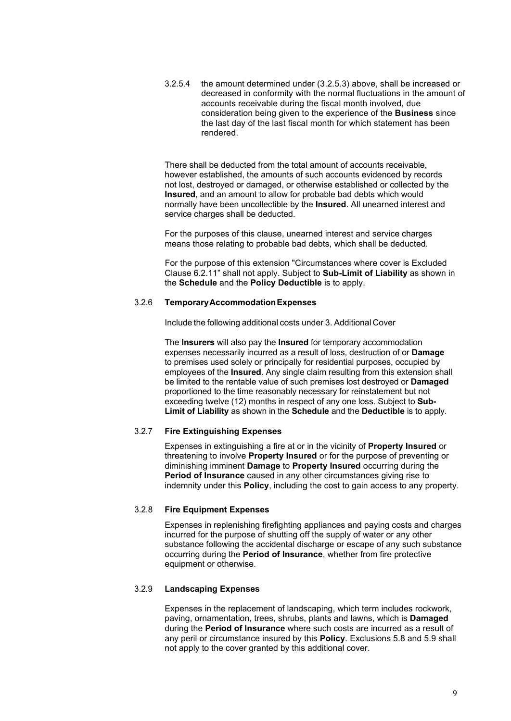3.2.5.4 the amount determined under (3.2.5.3) above, shall be increased or decreased in conformity with the normal fluctuations in the amount of accounts receivable during the fiscal month involved, due consideration being given to the experience of the **Business** since the last day of the last fiscal month for which statement has been rendered.

There shall be deducted from the total amount of accounts receivable, however established, the amounts of such accounts evidenced by records not lost, destroyed or damaged, or otherwise established or collected by the **Insured**, and an amount to allow for probable bad debts which would normally have been uncollectible by the **Insured**. All unearned interest and service charges shall be deducted.

For the purposes of this clause, unearned interest and service charges means those relating to probable bad debts, which shall be deducted.

For the purpose of this extension "Circumstances where cover is Excluded Clause 6.2.11" shall not apply. Subject to **Sub-Limit of Liability** as shown in the **Schedule** and the **Policy Deductible** is to apply.

#### 3.2.6 **TemporaryAccommodationExpenses**

Include the following additional costs under 3. Additional Cover

The **Insurers** will also pay the **Insured** for temporary accommodation expenses necessarily incurred as a result of loss, destruction of or **Damage** to premises used solely or principally for residential purposes, occupied by employees of the **Insured**. Any single claim resulting from this extension shall be limited to the rentable value of such premises lost destroyed or **Damaged** proportioned to the time reasonably necessary for reinstatement but not exceeding twelve (12) months in respect of any one loss. Subject to **Sub-Limit of Liability** as shown in the **Schedule** and the **Deductible** is to apply.

#### 3.2.7 **Fire Extinguishing Expenses**

Expenses in extinguishing a fire at or in the vicinity of **Property Insured** or threatening to involve **Property Insured** or for the purpose of preventing or diminishing imminent **Damage** to **Property Insured** occurring during the **Period of Insurance** caused in any other circumstances giving rise to indemnity under this **Policy**, including the cost to gain access to any property.

#### 3.2.8 **Fire Equipment Expenses**

Expenses in replenishing firefighting appliances and paying costs and charges incurred for the purpose of shutting off the supply of water or any other substance following the accidental discharge or escape of any such substance occurring during the **Period of Insurance**, whether from fire protective equipment or otherwise.

#### 3.2.9 **Landscaping Expenses**

Expenses in the replacement of landscaping, which term includes rockwork, paving, ornamentation, trees, shrubs, plants and lawns, which is **Damaged** during the **Period of Insurance** where such costs are incurred as a result of any peril or circumstance insured by this **Policy**. Exclusions 5.8 and 5.9 shall not apply to the cover granted by this additional cover.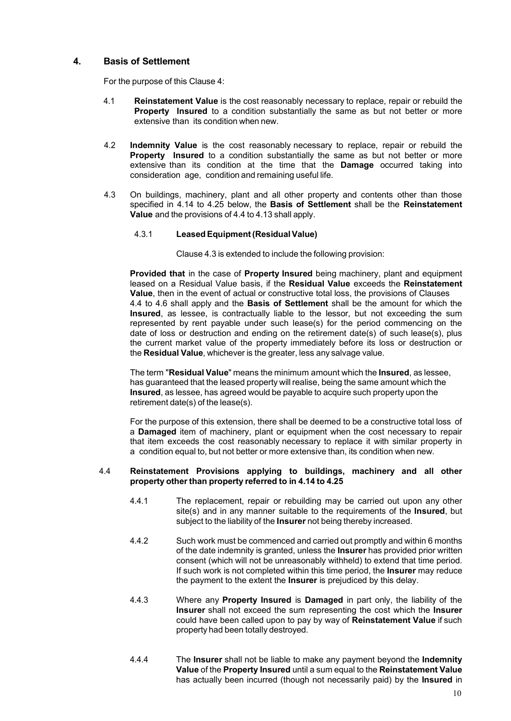#### <span id="page-10-0"></span>**4. Basis of Settlement**

For the purpose of this Clause 4:

- 4.1 **Reinstatement Value** is the cost reasonably necessary to replace, repair or rebuild the **Property Insured** to a condition substantially the same as but not better or more extensive than its condition when new.
- 4.2 **Indemnity Value** is the cost reasonably necessary to replace, repair or rebuild the **Property Insured** to a condition substantially the same as but not better or more extensive than its condition at the time that the **Damage** occurred taking into consideration age, condition and remaining useful life.
- 4.3 On buildings, machinery, plant and all other property and contents other than those specified in 4.14 to 4.25 below, the **Basis of Settlement** shall be the **Reinstatement Value** and the provisions of 4.4 to 4.13 shall apply.

#### 4.3.1 **LeasedEquipment(ResidualValue)**

Clause 4.3 is extended to include the following provision:

**Provided that** in the case of **Property Insured** being machinery, plant and equipment leased on a Residual Value basis, if the **Residual Value** exceeds the **Reinstatement Value**, then in the event of actual or constructive total loss, the provisions of Clauses 4.4 to 4.6 shall apply and the **Basis of Settlement** shall be the amount for which the **Insured**, as lessee, is contractually liable to the lessor, but not exceeding the sum represented by rent payable under such lease(s) for the period commencing on the date of loss or destruction and ending on the retirement date(s) of such lease(s), plus the current market value of the property immediately before its loss or destruction or the **Residual Value**, whichever is the greater, less any salvage value.

The term "**Residual Value**" means the minimum amount which the **Insured**, as lessee, has guaranteed that the leased property will realise, being the same amount which the **Insured**, as lessee, has agreed would be payable to acquire such property upon the retirement date(s) of the lease(s).

For the purpose of this extension, there shall be deemed to be a constructive total loss of a **Damaged** item of machinery, plant or equipment when the cost necessary to repair that item exceeds the cost reasonably necessary to replace it with similar property in a condition equal to, but not better or more extensive than, its condition when new.

#### 4.4 **Reinstatement Provisions applying to buildings, machinery and all other property other than property referred to in 4.14 to 4.25**

- 4.4.1 The replacement, repair or rebuilding may be carried out upon any other site(s) and in any manner suitable to the requirements of the **Insured**, but subject to the liability of the **Insurer** not being thereby increased.
- 4.4.2 Such work must be commenced and carried out promptly and within 6 months of the date indemnity is granted, unless the **Insurer** has provided prior written consent (which will not be unreasonably withheld) to extend that time period. If such work is not completed within this time period, the **Insurer** may reduce the payment to the extent the **Insurer** is prejudiced by this delay.
- 4.4.3 Where any **Property Insured** is **Damaged** in part only, the liability of the **Insurer** shall not exceed the sum representing the cost which the **Insurer** could have been called upon to pay by way of **Reinstatement Value** if such property had been totally destroyed.
- 4.4.4 The **Insurer** shall not be liable to make any payment beyond the **Indemnity Value** of the **Property Insured** until a sum equal to the **Reinstatement Value** has actually been incurred (though not necessarily paid) by the **Insured** in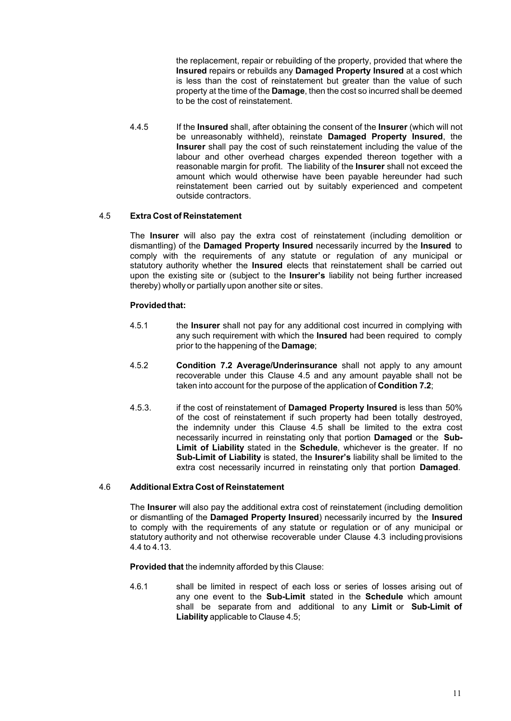the replacement, repair or rebuilding of the property, provided that where the **Insured** repairs or rebuilds any **Damaged Property Insured** at a cost which is less than the cost of reinstatement but greater than the value of such property at the time of the **Damage**, then the cost so incurred shall be deemed to be the cost of reinstatement.

4.4.5 If the **Insured** shall, after obtaining the consent of the **Insurer** (which will not be unreasonably withheld), reinstate **Damaged Property Insured**, the **Insurer** shall pay the cost of such reinstatement including the value of the labour and other overhead charges expended thereon together with a reasonable margin for profit. The liability of the **Insurer** shall not exceed the amount which would otherwise have been payable hereunder had such reinstatement been carried out by suitably experienced and competent outside contractors.

#### 4.5 **Extra Cost of Reinstatement**

The **Insurer** will also pay the extra cost of reinstatement (including demolition or dismantling) of the **Damaged Property Insured** necessarily incurred by the **Insured** to comply with the requirements of any statute or regulation of any municipal or statutory authority whether the **Insured** elects that reinstatement shall be carried out upon the existing site or (subject to the **Insurer's** liability not being further increased thereby) wholly or partially upon another site or sites.

#### **Providedthat:**

- 4.5.1 the **Insurer** shall not pay for any additional cost incurred in complying with any such requirement with which the **Insured** had been required to comply prior to the happening of the **Damage**;
- 4.5.2 **Condition 7.2 Average/Underinsurance** shall not apply to any amount recoverable under this Clause 4.5 and any amount payable shall not be taken into account for the purpose of the application of **Condition 7.2**;
- 4.5.3. if the cost of reinstatement of **Damaged Property Insured** is less than 50% of the cost of reinstatement if such property had been totally destroyed, the indemnity under this Clause 4.5 shall be limited to the extra cost necessarily incurred in reinstating only that portion **Damaged** or the **Sub-Limit of Liability** stated in the **Schedule**, whichever is the greater. If no **Sub-Limit of Liability** is stated, the **Insurer's** liability shall be limited to the extra cost necessarily incurred in reinstating only that portion **Damaged**.

#### 4.6 **Additional Extra Cost of Reinstatement**

The **Insurer** will also pay the additional extra cost of reinstatement (including demolition or dismantling of the **Damaged Property Insured**) necessarily incurred by the **Insured** to comply with the requirements of any statute or regulation or of any municipal or statutory authority and not otherwise recoverable under Clause 4.3 including provisions 4.4 to 4.13.

**Provided that** the indemnity afforded by this Clause:

4.6.1 shall be limited in respect of each loss or series of losses arising out of any one event to the **Sub-Limit** stated in the **Schedule** which amount shall be separate from and additional to any **Limit** or **Sub-Limit of Liability** applicable to Clause 4.5;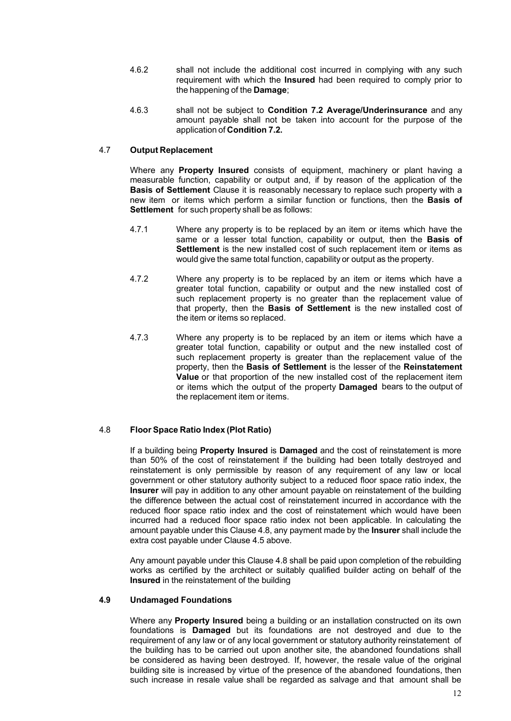- 4.6.2 shall not include the additional cost incurred in complying with any such requirement with which the **Insured** had been required to comply prior to the happening of the **Damage**;
- 4.6.3 shall not be subject to **Condition 7.2 Average/Underinsurance** and any amount payable shall not be taken into account for the purpose of the application of **Condition 7.2.**

#### 4.7 **Output Replacement**

Where any **Property Insured** consists of equipment, machinery or plant having a measurable function, capability or output and, if by reason of the application of the **Basis of Settlement** Clause it is reasonably necessary to replace such property with a new item or items which perform a similar function or functions, then the **Basis of Settlement** for such property shall be as follows:

- 4.7.1 Where any property is to be replaced by an item or items which have the same or a lesser total function, capability or output, then the **Basis of Settlement** is the new installed cost of such replacement item or items as would give the same total function, capability or output as the property.
- 4.7.2 Where any property is to be replaced by an item or items which have a greater total function, capability or output and the new installed cost of such replacement property is no greater than the replacement value of that property, then the **Basis of Settlement** is the new installed cost of the item or items so replaced.
- 4.7.3 Where any property is to be replaced by an item or items which have a greater total function, capability or output and the new installed cost of such replacement property is greater than the replacement value of the property, then the **Basis of Settlement** is the lesser of the **Reinstatement Value** or that proportion of the new installed cost of the replacement item or items which the output of the property **Damaged** bears to the output of the replacement item or items.

#### 4.8 **Floor Space Ratio Index (Plot Ratio)**

If a building being **Property Insured** is **Damaged** and the cost of reinstatement is more than 50% of the cost of reinstatement if the building had been totally destroyed and reinstatement is only permissible by reason of any requirement of any law or local government or other statutory authority subject to a reduced floor space ratio index, the **Insurer** will pay in addition to any other amount payable on reinstatement of the building the difference between the actual cost of reinstatement incurred in accordance with the reduced floor space ratio index and the cost of reinstatement which would have been incurred had a reduced floor space ratio index not been applicable. In calculating the amount payable under this Clause 4.8, any payment made by the **Insurer** shall include the extra cost payable under Clause 4.5 above.

Any amount payable under this Clause 4.8 shall be paid upon completion of the rebuilding works as certified by the architect or suitably qualified builder acting on behalf of the **Insured** in the reinstatement of the building

#### **4.9 Undamaged Foundations**

Where any **Property Insured** being a building or an installation constructed on its own foundations is **Damaged** but its foundations are not destroyed and due to the requirement of any law or of any local government or statutory authority reinstatement of the building has to be carried out upon another site, the abandoned foundations shall be considered as having been destroyed. If, however, the resale value of the original building site is increased by virtue of the presence of the abandoned foundations, then such increase in resale value shall be regarded as salvage and that amount shall be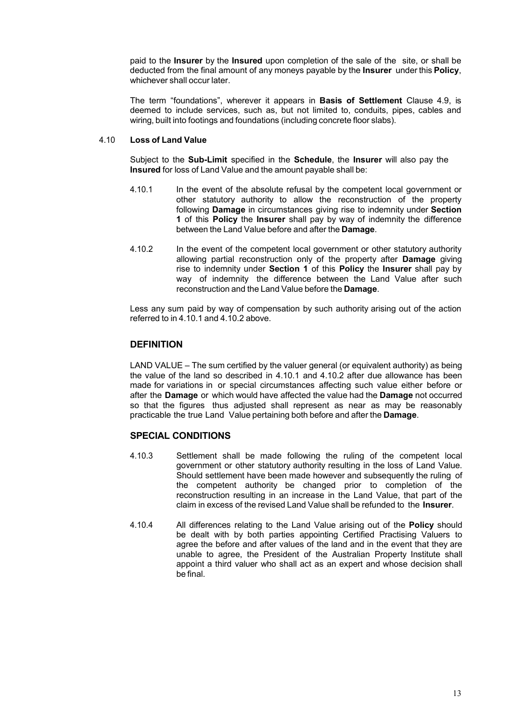paid to the **Insurer** by the **Insured** upon completion of the sale of the site, or shall be deducted from the final amount of any moneys payable by the **Insurer** under this **Policy**, whichever shall occur later.

The term "foundations", wherever it appears in **Basis of Settlement** Clause 4.9, is deemed to include services, such as, but not limited to, conduits, pipes, cables and wiring, built into footings and foundations (including concrete floor slabs).

#### 4.10 **Loss of Land Value**

Subject to the **Sub-Limit** specified in the **Schedule**, the **Insurer** will also pay the **Insured** for loss of Land Value and the amount payable shall be:

- 4.10.1 In the event of the absolute refusal by the competent local government or other statutory authority to allow the reconstruction of the property following **Damage** in circumstances giving rise to indemnity under **Section 1** of this **Policy** the **Insurer** shall pay by way of indemnity the difference between the Land Value before and after the **Damage**.
- 4.10.2 In the event of the competent local government or other statutory authority allowing partial reconstruction only of the property after **Damage** giving rise to indemnity under **Section 1** of this **Policy** the **Insurer** shall pay by way of indemnity the difference between the Land Value after such reconstruction and the Land Value before the **Damage**.

Less any sum paid by way of compensation by such authority arising out of the action referred to in 4.10.1 and 4.10.2 above.

#### **DEFINITION**

LAND VALUE – The sum certified by the valuer general (or equivalent authority) as being the value of the land so described in 4.10.1 and 4.10.2 after due allowance has been made for variations in or special circumstances affecting such value either before or after the **Damage** or which would have affected the value had the **Damage** not occurred so that the figures thus adjusted shall represent as near as may be reasonably practicable the true Land Value pertaining both before and after the **Damage**.

#### **SPECIAL CONDITIONS**

- 4.10.3 Settlement shall be made following the ruling of the competent local government or other statutory authority resulting in the loss of Land Value. Should settlement have been made however and subsequently the ruling of the competent authority be changed prior to completion of the reconstruction resulting in an increase in the Land Value, that part of the claim in excess of the revised Land Value shall be refunded to the **Insurer**.
- 4.10.4 All differences relating to the Land Value arising out of the **Policy** should be dealt with by both parties appointing Certified Practising Valuers to agree the before and after values of the land and in the event that they are unable to agree, the President of the Australian Property Institute shall appoint a third valuer who shall act as an expert and whose decision shall be final.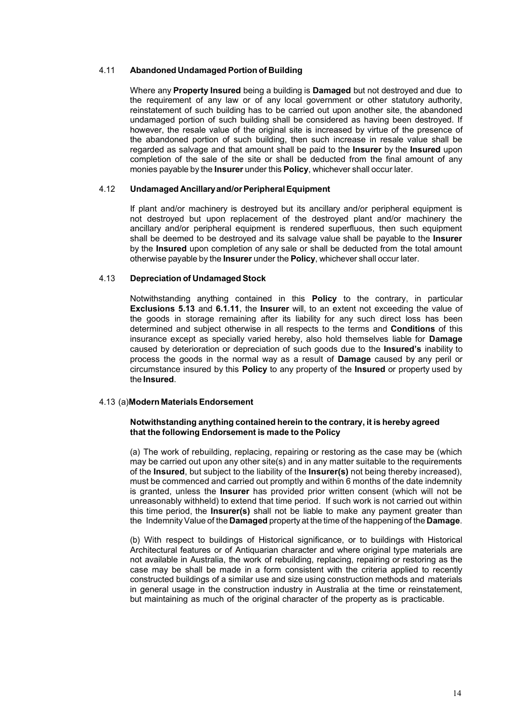#### 4.11 **Abandoned Undamaged Portion of Building**

Where any **Property Insured** being a building is **Damaged** but not destroyed and due to the requirement of any law or of any local government or other statutory authority, reinstatement of such building has to be carried out upon another site, the abandoned undamaged portion of such building shall be considered as having been destroyed. If however, the resale value of the original site is increased by virtue of the presence of the abandoned portion of such building, then such increase in resale value shall be regarded as salvage and that amount shall be paid to the **Insurer** by the **Insured** upon completion of the sale of the site or shall be deducted from the final amount of any monies payable by the **Insurer** under this **Policy**, whichever shall occur later.

#### 4.12 **Undamaged Ancillaryand/orPeripheralEquipment**

If plant and/or machinery is destroyed but its ancillary and/or peripheral equipment is not destroyed but upon replacement of the destroyed plant and/or machinery the ancillary and/or peripheral equipment is rendered superfluous, then such equipment shall be deemed to be destroyed and its salvage value shall be payable to the **Insurer** by the **Insured** upon completion of any sale or shall be deducted from the total amount otherwise payable by the **Insurer** under the **Policy**, whichever shall occur later.

#### 4.13 **Depreciation of Undamaged Stock**

Notwithstanding anything contained in this **Policy** to the contrary, in particular **Exclusions 5.13** and **6.1.11**, the **Insurer** will, to an extent not exceeding the value of the goods in storage remaining after its liability for any such direct loss has been determined and subject otherwise in all respects to the terms and **Conditions** of this insurance except as specially varied hereby, also hold themselves liable for **Damage** caused by deterioration or depreciation of such goods due to the **Insured's** inability to process the goods in the normal way as a result of **Damage** caused by any peril or circumstance insured by this **Policy** to any property of the **Insured** or property used by the **Insured**.

#### 4.13 (a)**Modern MaterialsEndorsement**

#### **Notwithstanding anything contained herein to the contrary, it is hereby agreed that the following Endorsement is made to the Policy**

(a) The work of rebuilding, replacing, repairing or restoring as the case may be (which may be carried out upon any other site(s) and in any matter suitable to the requirements of the **Insured**, but subject to the liability of the **Insurer(s)** not being thereby increased), must be commenced and carried out promptly and within 6 months of the date indemnity is granted, unless the **Insurer** has provided prior written consent (which will not be unreasonably withheld) to extend that time period. If such work is not carried out within this time period, the **Insurer(s)** shall not be liable to make any payment greater than the IndemnityValue of the **Damaged** property at the time of the happening of the **Damage**.

(b) With respect to buildings of Historical significance, or to buildings with Historical Architectural features or of Antiquarian character and where original type materials are not available in Australia, the work of rebuilding, replacing, repairing or restoring as the case may be shall be made in a form consistent with the criteria applied to recently constructed buildings of a similar use and size using construction methods and materials in general usage in the construction industry in Australia at the time or reinstatement, but maintaining as much of the original character of the property as is practicable.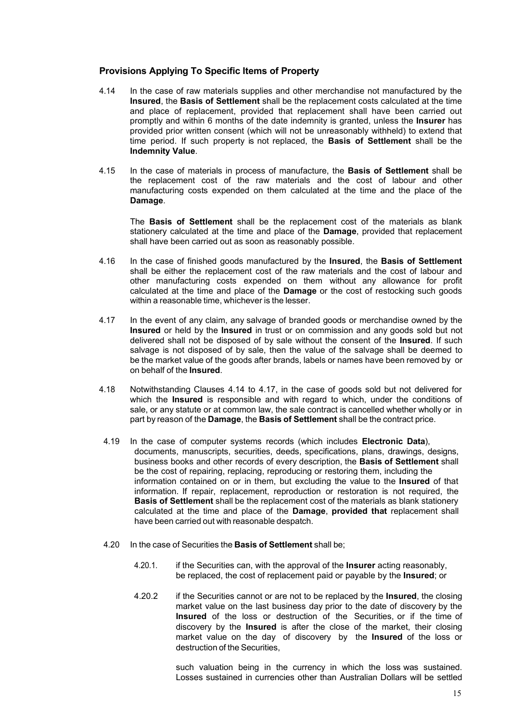#### **Provisions Applying To Specific Items of Property**

- 4.14 In the case of raw materials supplies and other merchandise not manufactured by the **Insured**, the **Basis of Settlement** shall be the replacement costs calculated at the time and place of replacement, provided that replacement shall have been carried out promptly and within 6 months of the date indemnity is granted, unless the **Insurer** has provided prior written consent (which will not be unreasonably withheld) to extend that time period. If such property is not replaced, the **Basis of Settlement** shall be the **Indemnity Value**.
- 4.15 In the case of materials in process of manufacture, the **Basis of Settlement** shall be the replacement cost of the raw materials and the cost of labour and other manufacturing costs expended on them calculated at the time and the place of the **Damage**.

The **Basis of Settlement** shall be the replacement cost of the materials as blank stationery calculated at the time and place of the **Damage**, provided that replacement shall have been carried out as soon as reasonably possible.

- 4.16 In the case of finished goods manufactured by the **Insured**, the **Basis of Settlement** shall be either the replacement cost of the raw materials and the cost of labour and other manufacturing costs expended on them without any allowance for profit calculated at the time and place of the **Damage** or the cost of restocking such goods within a reasonable time, whichever is the lesser.
- 4.17 In the event of any claim, any salvage of branded goods or merchandise owned by the **Insured** or held by the **Insured** in trust or on commission and any goods sold but not delivered shall not be disposed of by sale without the consent of the **Insured**. If such salvage is not disposed of by sale, then the value of the salvage shall be deemed to be the market value of the goods after brands, labels or names have been removed by or on behalf of the **Insured**.
- 4.18 Notwithstanding Clauses 4.14 to 4.17, in the case of goods sold but not delivered for which the **Insured** is responsible and with regard to which, under the conditions of sale, or any statute or at common law, the sale contract is cancelled whether wholly or in part by reason of the **Damage**, the **Basis of Settlement** shall be the contract price.
- 4.19 In the case of computer systems records (which includes **Electronic Data**), documents, manuscripts, securities, deeds, specifications, plans, drawings, designs, business books and other records of every description, the **Basis of Settlement** shall be the cost of repairing, replacing, reproducing or restoring them, including the information contained on or in them, but excluding the value to the **Insured** of that information. If repair, replacement, reproduction or restoration is not required, the **Basis of Settlement** shall be the replacement cost of the materials as blank stationery calculated at the time and place of the **Damage**, **provided that** replacement shall have been carried out with reasonable despatch.
- 4.20 In the case of Securities the **Basis of Settlement** shall be;
	- 4.20.1. if the Securities can, with the approval of the **Insurer** acting reasonably, be replaced, the cost of replacement paid or payable by the **Insured**; or
	- 4.20.2 if the Securities cannot or are not to be replaced by the **Insured**, the closing market value on the last business day prior to the date of discovery by the **Insured** of the loss or destruction of the Securities, or if the time of discovery by the **Insured** is after the close of the market, their closing market value on the day of discovery by the **Insured** of the loss or destruction of the Securities,

such valuation being in the currency in which the loss was sustained. Losses sustained in currencies other than Australian Dollars will be settled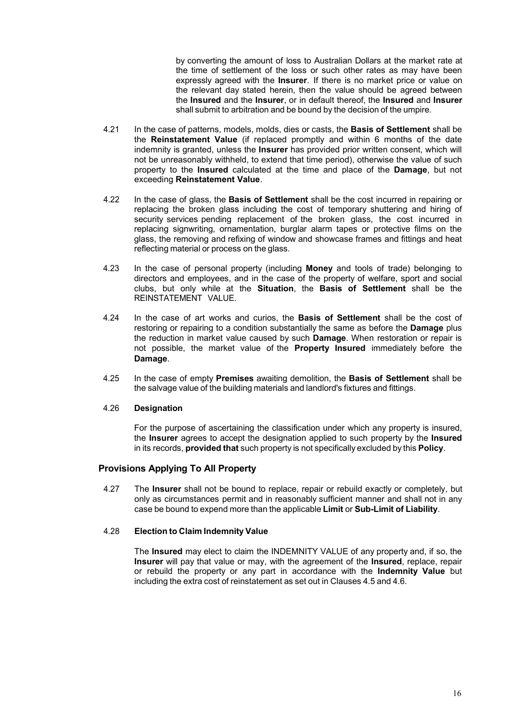by converting the amount of loss to Australian Dollars at the market rate at the time of settlement of the loss or such other rates as may have been expressly agreed with the **Insurer**. If there is no market price or value on the relevant day stated herein, then the value should be agreed between the **Insured** and the **Insurer**, or in default thereof, the **Insured** and **Insurer** shall submit to arbitration and be bound by the decision of the umpire.

- 4.21 In the case of patterns, models, molds, dies or casts, the **Basis of Settlement** shall be the **Reinstatement Value** (if replaced promptly and within 6 months of the date indemnity is granted, unless the **Insurer** has provided prior written consent, which will not be unreasonably withheld, to extend that time period), otherwise the value of such property to the **Insured** calculated at the time and place of the **Damage**, but not exceeding **Reinstatement Value**.
- 4.22 In the case of glass, the **Basis of Settlement** shall be the cost incurred in repairing or replacing the broken glass including the cost of temporary shuttering and hiring of security services pending replacement of the broken glass, the cost incurred in replacing signwriting, ornamentation, burglar alarm tapes or protective films on the glass, the removing and refixing of window and showcase frames and fittings and heat reflecting material or process on the glass.
- 4.23 In the case of personal property (including **Money** and tools of trade) belonging to directors and employees, and in the case of the property of welfare, sport and social clubs, but only while at the **Situation**, the **Basis of Settlement** shall be the REINSTATEMENT VALUE.
- 4.24 In the case of art works and curios, the **Basis of Settlement** shall be the cost of restoring or repairing to a condition substantially the same as before the **Damage** plus the reduction in market value caused by such **Damage**. When restoration or repair is not possible, the market value of the **Property Insured** immediately before the **Damage**.
- 4.25 In the case of empty **Premises** awaiting demolition, the **Basis of Settlement** shall be the salvage value of the building materials and landlord's fixtures and fittings.

#### 4.26 **Designation**

For the purpose of ascertaining the classification under which any property is insured, the **Insurer** agrees to accept the designation applied to such property by the **Insured** in its records, **provided that** such property is not specifically excluded by this **Policy**.

#### **Provisions Applying To All Property**

4.27 The **Insurer** shall not be bound to replace, repair or rebuild exactly or completely, but only as circumstances permit and in reasonably sufficient manner and shall not in any case be bound to expend more than the applicable **Limit** or **Sub-Limit of Liability**.

#### 4.28 **Election to Claim Indemnity Value**

The **Insured** may elect to claim the INDEMNITY VALUE of any property and, if so, the **Insurer** will pay that value or may, with the agreement of the **Insured**, replace, repair or rebuild the property or any part in accordance with the **Indemnity Value** but including the extra cost of reinstatement as set out in Clauses 4.5 and 4.6.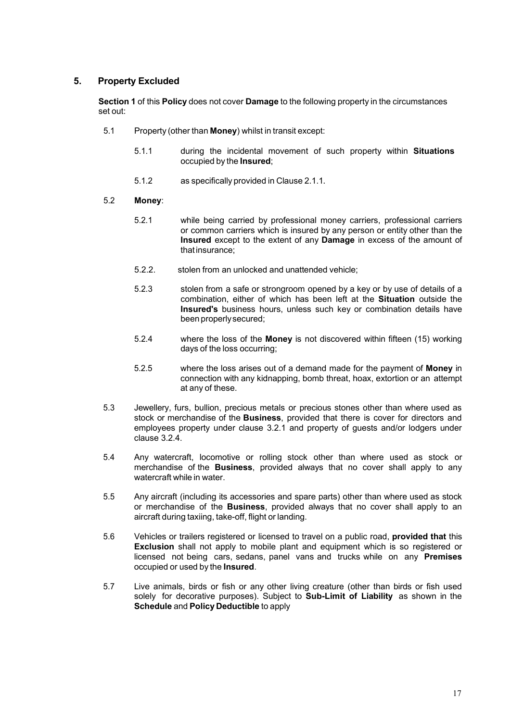#### <span id="page-17-0"></span>**5. Property Excluded**

**Section 1** of this **Policy** does not cover **Damage** to the following property in the circumstances set out:

- 5.1 Property (other than **Money**) whilst in transit except:
	- 5.1.1 during the incidental movement of such property within **Situations** occupied by the **Insured**;
	- 5.1.2 as specifically provided in Clause 2.1.1.

#### 5.2 **Money**:

- 5.2.1 while being carried by professional money carriers, professional carriers or common carriers which is insured by any person or entity other than the **Insured** except to the extent of any **Damage** in excess of the amount of thatinsurance;
- 5.2.2. stolen from an unlocked and unattended vehicle;
- 5.2.3 stolen from a safe or strongroom opened by a key or by use of details of a combination, either of which has been left at the **Situation** outside the **Insured's** business hours, unless such key or combination details have been properlysecured;
- 5.2.4 where the loss of the **Money** is not discovered within fifteen (15) working days of the loss occurring;
- 5.2.5 where the loss arises out of a demand made for the payment of **Money** in connection with any kidnapping, bomb threat, hoax, extortion or an attempt at any of these.
- 5.3 Jewellery, furs, bullion, precious metals or precious stones other than where used as stock or merchandise of the **Business**, provided that there is cover for directors and employees property under clause 3.2.1 and property of guests and/or lodgers under clause 3.2.4.
- 5.4 Any watercraft, locomotive or rolling stock other than where used as stock or merchandise of the **Business**, provided always that no cover shall apply to any watercraft while in water.
- 5.5 Any aircraft (including its accessories and spare parts) other than where used as stock or merchandise of the **Business**, provided always that no cover shall apply to an aircraft during taxiing, take-off, flight or landing.
- 5.6 Vehicles or trailers registered or licensed to travel on a public road, **provided that** this **Exclusion** shall not apply to mobile plant and equipment which is so registered or licensed not being cars, sedans, panel vans and trucks while on any **Premises** occupied or used by the **Insured**.
- 5.7 Live animals, birds or fish or any other living creature (other than birds or fish used solely for decorative purposes). Subject to **Sub-Limit of Liability** as shown in the **Schedule** and **Policy Deductible** to apply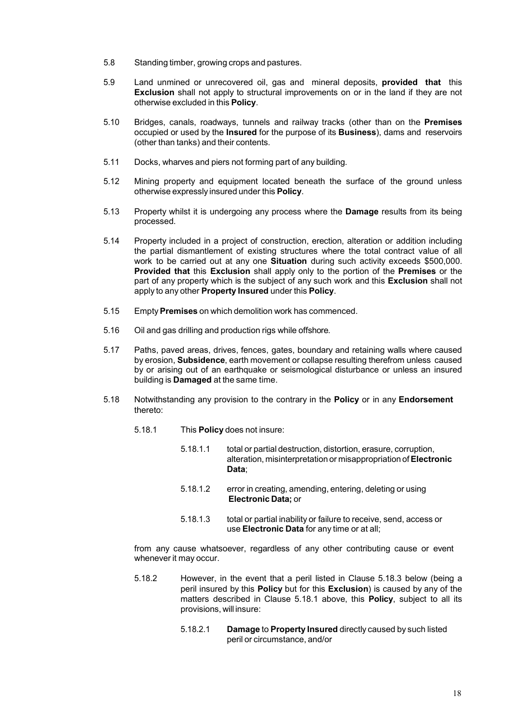- 5.8 Standing timber, growing crops and pastures.
- 5.9 Land unmined or unrecovered oil, gas and mineral deposits, **provided that** this **Exclusion** shall not apply to structural improvements on or in the land if they are not otherwise excluded in this **Policy**.
- 5.10 Bridges, canals, roadways, tunnels and railway tracks (other than on the **Premises** occupied or used by the **Insured** for the purpose of its **Business**), dams and reservoirs (other than tanks) and their contents.
- 5.11 Docks, wharves and piers not forming part of any building.
- 5.12 Mining property and equipment located beneath the surface of the ground unless otherwise expressly insured under this **Policy**.
- 5.13 Property whilst it is undergoing any process where the **Damage** results from its being processed.
- 5.14 Property included in a project of construction, erection, alteration or addition including the partial dismantlement of existing structures where the total contract value of all work to be carried out at any one **Situation** during such activity exceeds \$500,000. **Provided that** this **Exclusion** shall apply only to the portion of the **Premises** or the part of any property which is the subject of any such work and this **Exclusion** shall not apply to any other **Property Insured** under this **Policy**.
- 5.15 Empty**Premises** on which demolition work has commenced.
- 5.16 Oil and gas drilling and production rigs while offshore.
- 5.17 Paths, paved areas, drives, fences, gates, boundary and retaining walls where caused by erosion, **Subsidence**, earth movement or collapse resulting therefrom unless caused by or arising out of an earthquake or seismological disturbance or unless an insured building is **Damaged** at the same time.
- 5.18 Notwithstanding any provision to the contrary in the **Policy** or in any **Endorsement** thereto:
	- 5.18.1 This **Policy** does not insure:
		- 5.18.1.1 total or partial destruction, distortion, erasure, corruption, alteration, misinterpretation or misappropriation of **Electronic Data**;
		- 5.18.1.2 error in creating, amending, entering, deleting or using **Electronic Data;** or
		- 5.18.1.3 total or partial inability or failure to receive, send, access or use **Electronic Data** for any time or at all;

from any cause whatsoever, regardless of any other contributing cause or event whenever it may occur.

- 5.18.2 However, in the event that a peril listed in Clause 5.18.3 below (being a peril insured by this **Policy** but for this **Exclusion**) is caused by any of the matters described in Clause 5.18.1 above, this **Policy**, subject to all its provisions, will insure:
	- 5.18.2.1 **Damage** to **Property Insured** directly caused by such listed peril or circumstance, and/or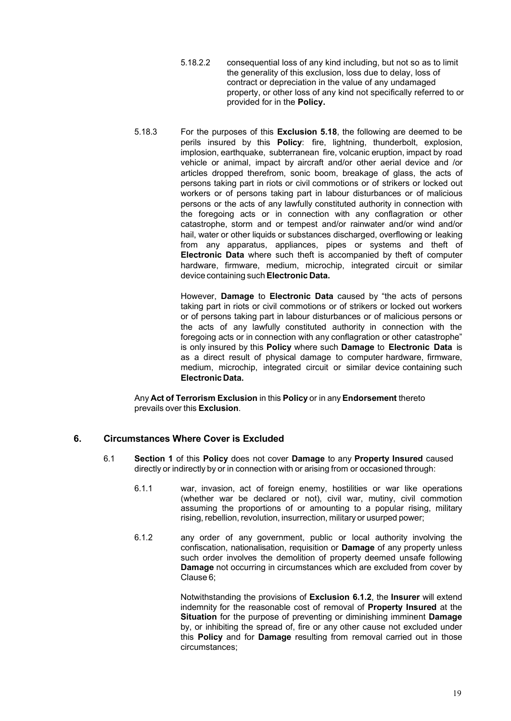- 5.18.2.2 consequential loss of any kind including, but not so as to limit the generality of this exclusion, loss due to delay, loss of contract or depreciation in the value of any undamaged property, or other loss of any kind not specifically referred to or provided for in the **Policy.**
- 5.18.3 For the purposes of this **Exclusion 5.18**, the following are deemed to be perils insured by this **Policy**: fire, lightning, thunderbolt, explosion, implosion, earthquake, subterranean fire, volcanic eruption, impact by road vehicle or animal, impact by aircraft and/or other aerial device and /or articles dropped therefrom, sonic boom, breakage of glass, the acts of persons taking part in riots or civil commotions or of strikers or locked out workers or of persons taking part in labour disturbances or of malicious persons or the acts of any lawfully constituted authority in connection with the foregoing acts or in connection with any conflagration or other catastrophe, storm and or tempest and/or rainwater and/or wind and/or hail, water or other liquids or substances discharged, overflowing or leaking from any apparatus, appliances, pipes or systems and theft of **Electronic Data** where such theft is accompanied by theft of computer hardware, firmware, medium, microchip, integrated circuit or similar device containing such **Electronic Data.**

However, **Damage** to **Electronic Data** caused by "the acts of persons taking part in riots or civil commotions or of strikers or locked out workers or of persons taking part in labour disturbances or of malicious persons or the acts of any lawfully constituted authority in connection with the foregoing acts or in connection with any conflagration or other catastrophe" is only insured by this **Policy** where such **Damage** to **Electronic Data** is as a direct result of physical damage to computer hardware, firmware, medium, microchip, integrated circuit or similar device containing such **ElectronicData.**

Any **Act of Terrorism Exclusion** in this **Policy** or in any **Endorsement** thereto prevails over this **Exclusion**.

#### <span id="page-19-0"></span>**6. Circumstances Where Cover is Excluded**

- 6.1 **Section 1** of this **Policy** does not cover **Damage** to any **Property Insured** caused directly or indirectly by or in connection with or arising from or occasioned through:
	- 6.1.1 war, invasion, act of foreign enemy, hostilities or war like operations (whether war be declared or not), civil war, mutiny, civil commotion assuming the proportions of or amounting to a popular rising, military rising, rebellion, revolution, insurrection, military or usurped power;
	- 6.1.2 any order of any government, public or local authority involving the confiscation, nationalisation, requisition or **Damage** of any property unless such order involves the demolition of property deemed unsafe following **Damage** not occurring in circumstances which are excluded from cover by Clause 6;

Notwithstanding the provisions of **Exclusion 6.1.2**, the **Insurer** will extend indemnity for the reasonable cost of removal of **Property Insured** at the **Situation** for the purpose of preventing or diminishing imminent **Damage** by, or inhibiting the spread of, fire or any other cause not excluded under this **Policy** and for **Damage** resulting from removal carried out in those circumstances;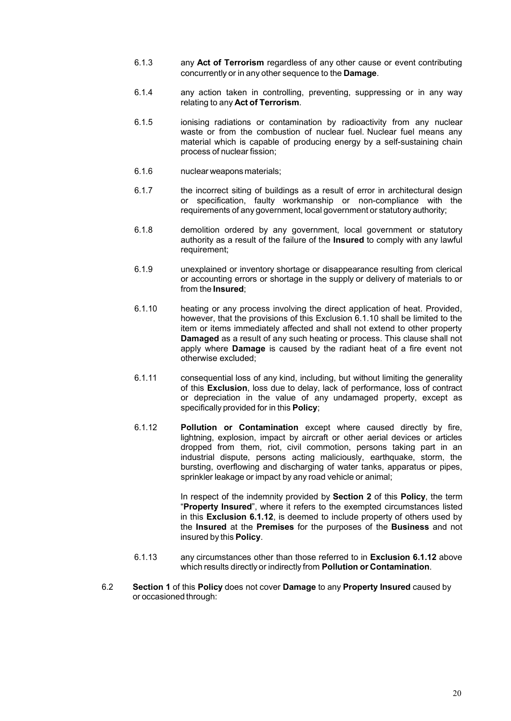- 6.1.3 any **Act of Terrorism** regardless of any other cause or event contributing concurrently or in any other sequence to the **Damage**.
- 6.1.4 any action taken in controlling, preventing, suppressing or in any way relating to any **Act of Terrorism**.
- 6.1.5 ionising radiations or contamination by radioactivity from any nuclear waste or from the combustion of nuclear fuel. Nuclear fuel means any material which is capable of producing energy by a self-sustaining chain process of nuclear fission;
- 6.1.6 nuclear weapons materials;
- 6.1.7 the incorrect siting of buildings as a result of error in architectural design or specification, faulty workmanship or non-compliance with the requirements of any government, local government or statutory authority;
- 6.1.8 demolition ordered by any government, local government or statutory authority as a result of the failure of the **Insured** to comply with any lawful requirement;
- 6.1.9 unexplained or inventory shortage or disappearance resulting from clerical or accounting errors or shortage in the supply or delivery of materials to or from the **Insured**;
- 6.1.10 heating or any process involving the direct application of heat. Provided, however, that the provisions of this Exclusion 6.1.10 shall be limited to the item or items immediately affected and shall not extend to other property **Damaged** as a result of any such heating or process. This clause shall not apply where **Damage** is caused by the radiant heat of a fire event not otherwise excluded;
- 6.1.11 consequential loss of any kind, including, but without limiting the generality of this **Exclusion**, loss due to delay, lack of performance, loss of contract or depreciation in the value of any undamaged property, except as specifically provided for in this **Policy**;
- 6.1.12 **Pollution or Contamination** except where caused directly by fire, lightning, explosion, impact by aircraft or other aerial devices or articles dropped from them, riot, civil commotion, persons taking part in an industrial dispute, persons acting maliciously, earthquake, storm, the bursting, overflowing and discharging of water tanks, apparatus or pipes, sprinkler leakage or impact by any road vehicle or animal;

In respect of the indemnity provided by **Section 2** of this **Policy**, the term "**Property Insured**", where it refers to the exempted circumstances listed in this **Exclusion 6.1.12**, is deemed to include property of others used by the **Insured** at the **Premises** for the purposes of the **Business** and not insured by this **Policy**.

- 6.1.13 any circumstances other than those referred to in **Exclusion 6.1.12** above which results directly or indirectly from **Pollution or Contamination**.
- 6.2 **Section 1** of this **Policy** does not cover **Damage** to any **Property Insured** caused by or occasioned through: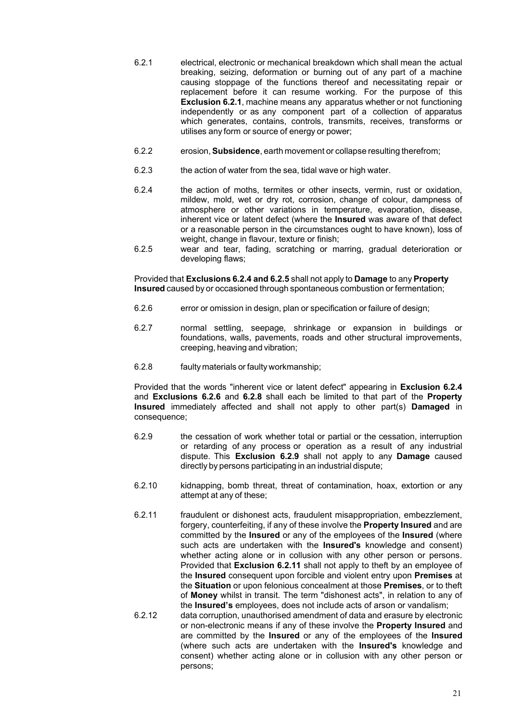- 6.2.1 electrical, electronic or mechanical breakdown which shall mean the actual breaking, seizing, deformation or burning out of any part of a machine causing stoppage of the functions thereof and necessitating repair or replacement before it can resume working. For the purpose of this **Exclusion 6.2.1**, machine means any apparatus whether or not functioning independently or as any component part of a collection of apparatus which generates, contains, controls, transmits, receives, transforms or utilises any form or source of energy or power;
- 6.2.2 erosion, **Subsidence**, earth movement or collapse resulting therefrom;
- 6.2.3 the action of water from the sea, tidal wave or high water.
- 6.2.4 the action of moths, termites or other insects, vermin, rust or oxidation, mildew, mold, wet or dry rot, corrosion, change of colour, dampness of atmosphere or other variations in temperature, evaporation, disease, inherent vice or latent defect (where the **Insured** was aware of that defect or a reasonable person in the circumstances ought to have known), loss of weight, change in flavour, texture or finish;
- 6.2.5 wear and tear, fading, scratching or marring, gradual deterioration or developing flaws;

Provided that **Exclusions 6.2.4 and 6.2.5** shall not apply to **Damage** to any **Property Insured** caused by or occasioned through spontaneous combustion or fermentation;

- 6.2.6 error or omission in design, plan or specification or failure of design;
- 6.2.7 normal settling, seepage, shrinkage or expansion in buildings or foundations, walls, pavements, roads and other structural improvements, creeping, heaving and vibration;
- 6.2.8 faulty materials or faulty workmanship;

Provided that the words "inherent vice or latent defect" appearing in **Exclusion 6.2.4** and **Exclusions 6.2.6** and **6.2.8** shall each be limited to that part of the **Property Insured** immediately affected and shall not apply to other part(s) **Damaged** in consequence;

- 6.2.9 the cessation of work whether total or partial or the cessation, interruption or retarding of any process or operation as a result of any industrial dispute. This **Exclusion 6.2.9** shall not apply to any **Damage** caused directly by persons participating in an industrial dispute;
- 6.2.10 kidnapping, bomb threat, threat of contamination, hoax, extortion or any attempt at any of these;
- 6.2.11 fraudulent or dishonest acts, fraudulent misappropriation, embezzlement, forgery, counterfeiting, if any of these involve the **Property Insured** and are committed by the **Insured** or any of the employees of the **Insured** (where such acts are undertaken with the **Insured's** knowledge and consent) whether acting alone or in collusion with any other person or persons. Provided that **Exclusion 6.2.11** shall not apply to theft by an employee of the **Insured** consequent upon forcible and violent entry upon **Premises** at the **Situation** or upon felonious concealment at those **Premises**, or to theft of **Money** whilst in transit. The term "dishonest acts", in relation to any of the **Insured's** employees, does not include acts of arson or vandalism;
- 6.2.12 data corruption, unauthorised amendment of data and erasure by electronic or non-electronic means if any of these involve the **Property Insured** and are committed by the **Insured** or any of the employees of the **Insured** (where such acts are undertaken with the **Insured's** knowledge and consent) whether acting alone or in collusion with any other person or persons;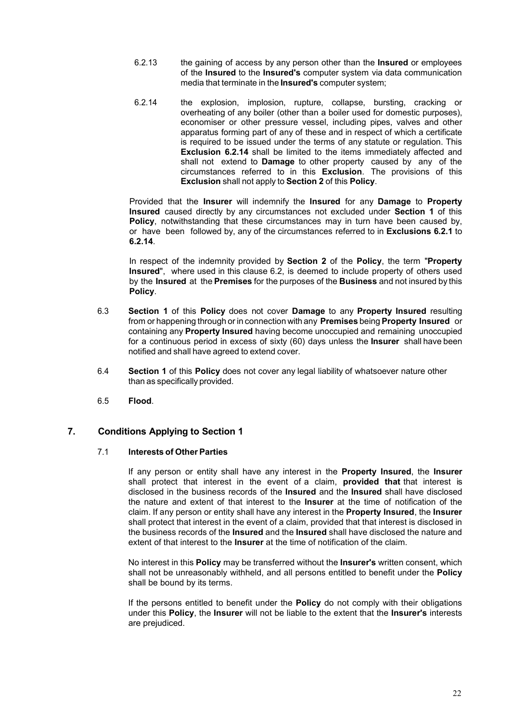- 6.2.13 the gaining of access by any person other than the **Insured** or employees of the **Insured** to the **Insured's** computer system via data communication media that terminate in the **Insured's** computer system;
- 6.2.14 the explosion, implosion, rupture, collapse, bursting, cracking or overheating of any boiler (other than a boiler used for domestic purposes), economiser or other pressure vessel, including pipes, valves and other apparatus forming part of any of these and in respect of which a certificate is required to be issued under the terms of any statute or regulation. This **Exclusion 6.2.14** shall be limited to the items immediately affected and shall not extend to **Damage** to other property caused by any of the circumstances referred to in this **Exclusion**. The provisions of this **Exclusion** shall not apply to **Section 2** of this **Policy**.

Provided that the **Insurer** will indemnify the **Insured** for any **Damage** to **Property Insured** caused directly by any circumstances not excluded under **Section 1** of this **Policy**, notwithstanding that these circumstances may in turn have been caused by, or have been followed by, any of the circumstances referred to in **Exclusions 6.2.1** to **6.2.14**.

In respect of the indemnity provided by **Section 2** of the **Policy**, the term "**Property Insured**", where used in this clause 6.2, is deemed to include property of others used by the **Insured** at the **Premises** for the purposes of the **Business** and not insured by this **Policy**.

- 6.3 **Section 1** of this **Policy** does not cover **Damage** to any **Property Insured** resulting from or happening through or in connection with any **Premises** being **Property Insured** or containing any **Property Insured** having become unoccupied and remaining unoccupied for a continuous period in excess of sixty (60) days unless the **Insurer** shall have been notified and shall have agreed to extend cover.
- 6.4 **Section 1** of this **Policy** does not cover any legal liability of whatsoever nature other than as specifically provided.
- 6.5 **Flood**.

#### <span id="page-22-0"></span>**7. Conditions Applying to Section 1**

#### 7.1 **Interests of Other Parties**

If any person or entity shall have any interest in the **Property Insured**, the **Insurer** shall protect that interest in the event of a claim, **provided that** that interest is disclosed in the business records of the **Insured** and the **Insured** shall have disclosed the nature and extent of that interest to the **Insurer** at the time of notification of the claim. If any person or entity shall have any interest in the **Property Insured**, the **Insurer** shall protect that interest in the event of a claim, provided that that interest is disclosed in the business records of the **Insured** and the **Insured** shall have disclosed the nature and extent of that interest to the **Insurer** at the time of notification of the claim.

No interest in this **Policy** may be transferred without the **Insurer's** written consent, which shall not be unreasonably withheld, and all persons entitled to benefit under the **Policy** shall be bound by its terms.

If the persons entitled to benefit under the **Policy** do not comply with their obligations under this **Policy**, the **Insurer** will not be liable to the extent that the **Insurer's** interests are prejudiced.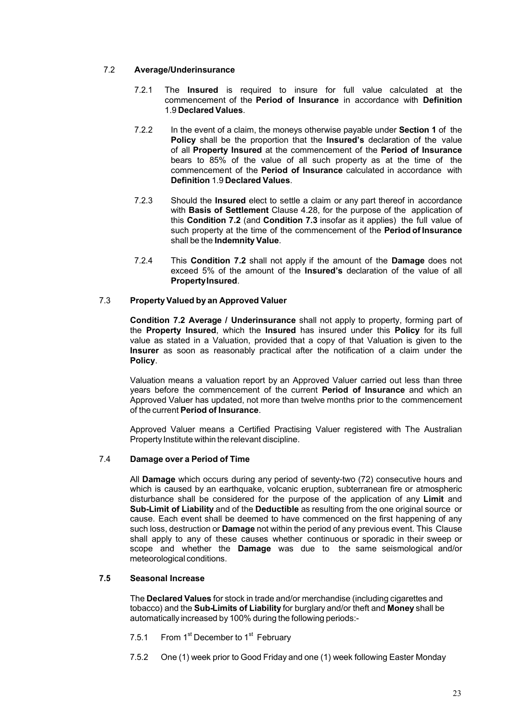#### 7.2 **Average/Underinsurance**

- 7.2.1 The **Insured** is required to insure for full value calculated at the commencement of the **Period of Insurance** in accordance with **Definition** 1.9 **Declared Values**.
- 7.2.2 In the event of a claim, the moneys otherwise payable under **Section 1** of the **Policy** shall be the proportion that the **Insured's** declaration of the value of all **Property Insured** at the commencement of the **Period of Insurance** bears to 85% of the value of all such property as at the time of the commencement of the **Period of Insurance** calculated in accordance with **Definition** 1.9 **Declared Values**.
- 7.2.3 Should the **Insured** elect to settle a claim or any part thereof in accordance with **Basis of Settlement** Clause 4.28, for the purpose of the application of this **Condition 7.2** (and **Condition 7.3** insofar as it applies) the full value of such property at the time of the commencement of the **Period of Insurance** shall be the **Indemnity Value**.
- 7.2.4 This **Condition 7.2** shall not apply if the amount of the **Damage** does not exceed 5% of the amount of the **Insured's** declaration of the value of all **PropertyInsured**.

#### 7.3 **Property Valued by an Approved Valuer**

**Condition 7.2 Average / Underinsurance** shall not apply to property, forming part of the **Property Insured**, which the **Insured** has insured under this **Policy** for its full value as stated in a Valuation, provided that a copy of that Valuation is given to the **Insurer** as soon as reasonably practical after the notification of a claim under the **Policy**.

Valuation means a valuation report by an Approved Valuer carried out less than three years before the commencement of the current **Period of Insurance** and which an Approved Valuer has updated, not more than twelve months prior to the commencement of the current **Period of Insurance**.

Approved Valuer means a Certified Practising Valuer registered with The Australian Property Institute within the relevant discipline.

#### 7.4 **Damage over a Period of Time**

All **Damage** which occurs during any period of seventy-two (72) consecutive hours and which is caused by an earthquake, volcanic eruption, subterranean fire or atmospheric disturbance shall be considered for the purpose of the application of any **Limit** and **Sub-Limit of Liability** and of the **Deductible** as resulting from the one original source or cause. Each event shall be deemed to have commenced on the first happening of any such loss, destruction or **Damage** not within the period of any previous event. This Clause shall apply to any of these causes whether continuous or sporadic in their sweep or scope and whether the **Damage** was due to the same seismological and/or meteorological conditions.

#### **7.5 Seasonal Increase**

The **Declared Values** for stock in trade and/or merchandise (including cigarettes and tobacco) and the **Sub-Limits of Liability** for burglary and/or theft and **Money** shall be automatically increased by 100% during the following periods:-

- 7.5.1 From 1<sup>st</sup> December to 1<sup>st</sup> February
- 7.5.2 One (1) week prior to Good Friday and one (1) week following Easter Monday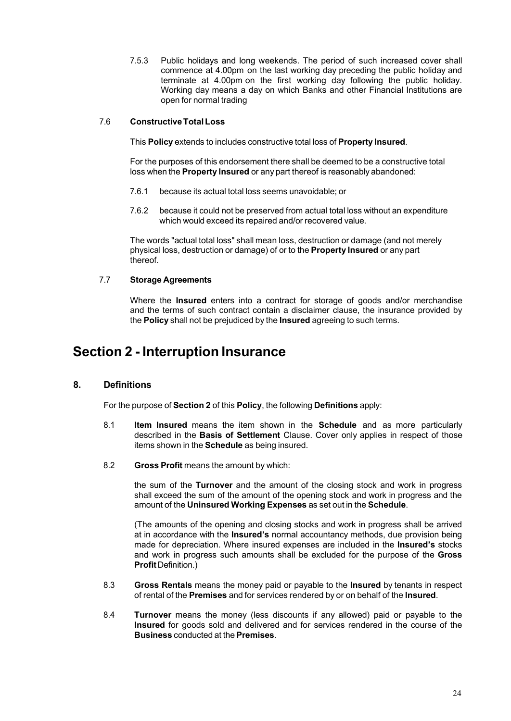7.5.3 Public holidays and long weekends. The period of such increased cover shall commence at 4.00pm on the last working day preceding the public holiday and terminate at 4.00pm on the first working day following the public holiday. Working day means a day on which Banks and other Financial Institutions are open for normal trading

#### 7.6 **ConstructiveTotal Loss**

This **Policy** extends to includes constructive total loss of **Property Insured**.

For the purposes of this endorsement there shall be deemed to be a constructive total loss when the **Property Insured** or any part thereof is reasonably abandoned:

- 7.6.1 because its actual total loss seems unavoidable; or
- 7.6.2 because it could not be preserved from actual total loss without an expenditure which would exceed its repaired and/or recovered value.

The words "actual total loss" shall mean loss, destruction or damage (and not merely physical loss, destruction or damage) of or to the **Property Insured** or any part thereof.

#### 7.7 **Storage Agreements**

Where the **Insured** enters into a contract for storage of goods and/or merchandise and the terms of such contract contain a disclaimer clause, the insurance provided by the **Policy** shall not be prejudiced by the **Insured** agreeing to such terms.

### <span id="page-24-0"></span>**Section 2 - Interruption Insurance**

#### <span id="page-24-1"></span>**8. Definitions**

For the purpose of **Section 2** of this **Policy**, the following **Definitions** apply:

- 8.1 **Item Insured** means the item shown in the **Schedule** and as more particularly described in the **Basis of Settlement** Clause. Cover only applies in respect of those items shown in the **Schedule** as being insured.
- 8.2 **Gross Profit** means the amount by which:

the sum of the **Turnover** and the amount of the closing stock and work in progress shall exceed the sum of the amount of the opening stock and work in progress and the amount of the **Uninsured Working Expenses** as set out in the **Schedule**.

(The amounts of the opening and closing stocks and work in progress shall be arrived at in accordance with the **Insured's** normal accountancy methods, due provision being made for depreciation. Where insured expenses are included in the **Insured's** stocks and work in progress such amounts shall be excluded for the purpose of the **Gross Profit** Definition.)

- 8.3 **Gross Rentals** means the money paid or payable to the **Insured** by tenants in respect of rental of the **Premises** and for services rendered by or on behalf of the **Insured**.
- 8.4 **Turnover** means the money (less discounts if any allowed) paid or payable to the **Insured** for goods sold and delivered and for services rendered in the course of the **Business** conducted at the **Premises**.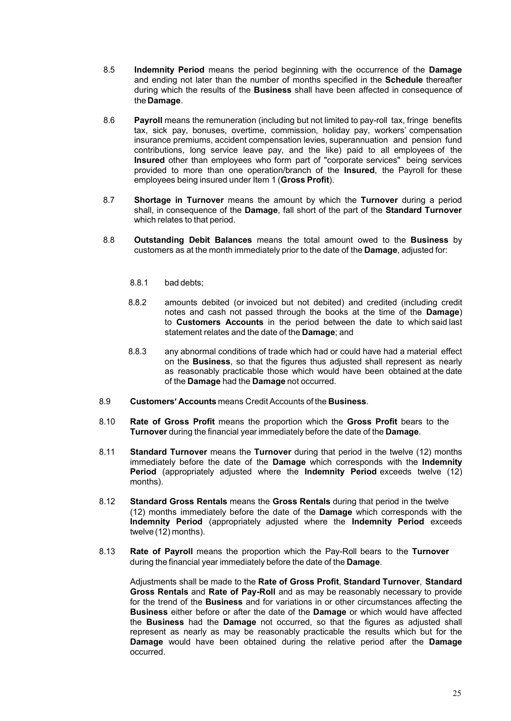- 8.5 **Indemnity Period** means the period beginning with the occurrence of the **Damage** and ending not later than the number of months specified in the **Schedule** thereafter during which the results of the **Business** shall have been affected in consequence of the **Damage**.
- 8.6 **Payroll** means the remuneration (including but not limited to pay-roll tax, fringe benefits tax, sick pay, bonuses, overtime, commission, holiday pay, workers' compensation insurance premiums, accident compensation levies, superannuation and pension fund contributions, long service leave pay, and the like) paid to all employees of the **Insured** other than employees who form part of "corporate services" being services provided to more than one operation/branch of the **Insured**, the Payroll for these employees being insured under Item 1 (**Gross Profit**).
- 8.7 **Shortage in Turnover** means the amount by which the **Turnover** during a period shall, in consequence of the **Damage**, fall short of the part of the **Standard Turnover** which relates to that period.
- 8.8 **Outstanding Debit Balances** means the total amount owed to the **Business** by customers as at the month immediately prior to the date of the **Damage**, adjusted for:
	- 8.8.1 bad debts;
	- 8.8.2 amounts debited (or invoiced but not debited) and credited (including credit notes and cash not passed through the books at the time of the **Damage**) to **Customers Accounts** in the period between the date to which said last statement relates and the date of the **Damage**; and
	- 8.8.3 any abnormal conditions of trade which had or could have had a material effect on the **Business**, so that the figures thus adjusted shall represent as nearly as reasonably practicable those which would have been obtained at the date of the **Damage** had the **Damage** not occurred.
- 8.9 **Customers' Accounts** means Credit Accounts of the **Business**.
- 8.10 **Rate of Gross Profit** means the proportion which the **Gross Profit** bears to the **Turnover** during the financial year immediately before the date of the **Damage**.
- 8.11 **Standard Turnover** means the **Turnover** during that period in the twelve (12) months immediately before the date of the **Damage** which corresponds with the **Indemnity Period** (appropriately adjusted where the **Indemnity Period** exceeds twelve (12) months).
- 8.12 **Standard Gross Rentals** means the **Gross Rentals** during that period in the twelve (12) months immediately before the date of the **Damage** which corresponds with the **Indemnity Period** (appropriately adjusted where the **Indemnity Period** exceeds twelve (12) months).
- 8.13 **Rate of Payroll** means the proportion which the Pay-Roll bears to the **Turnover** during the financial year immediately before the date of the **Damage**.

Adjustments shall be made to the **Rate of Gross Profit**, **Standard Turnover**, **Standard Gross Rentals** and **Rate of Pay-Roll** and as may be reasonably necessary to provide for the trend of the **Business** and for variations in or other circumstances affecting the **Business** either before or after the date of the **Damage** or which would have affected the **Business** had the **Damage** not occurred, so that the figures as adjusted shall represent as nearly as may be reasonably practicable the results which but for the **Damage** would have been obtained during the relative period after the **Damage** occurred.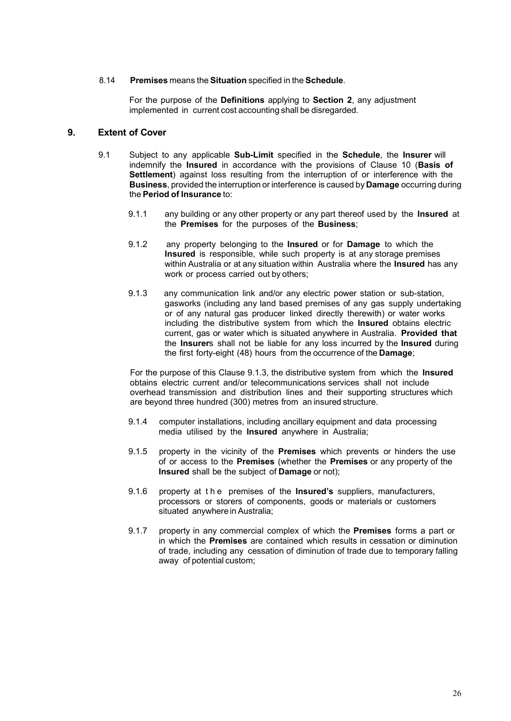#### 8.14 **Premises** means the **Situation** specified in the **Schedule**.

For the purpose of the **Definitions** applying to **Section 2**, any adjustment implemented in current cost accounting shall be disregarded.

#### <span id="page-26-0"></span>**9. Extent of Cover**

- 9.1 Subject to any applicable **Sub-Limit** specified in the **Schedule**, the **Insurer** will indemnify the **Insured** in accordance with the provisions of Clause 10 (**Basis of Settlement**) against loss resulting from the interruption of or interference with the **Business**, provided the interruption or interference is caused by **Damage** occurring during the **Period of Insurance** to:
	- 9.1.1 any building or any other property or any part thereof used by the **Insured** at the **Premises** for the purposes of the **Business**;
	- 9.1.2 any property belonging to the **Insured** or for **Damage** to which the **Insured** is responsible, while such property is at any storage premises within Australia or at any situation within Australia where the **Insured** has any work or process carried out by others;
	- 9.1.3 any communication link and/or any electric power station or sub-station, gasworks (including any land based premises of any gas supply undertaking or of any natural gas producer linked directly therewith) or water works including the distributive system from which the **Insured** obtains electric current, gas or water which is situated anywhere in Australia. **Provided that** the **Insurer**s shall not be liable for any loss incurred by the **Insured** during the first forty-eight (48) hours from the occurrence of the **Damage**;

For the purpose of this Clause 9.1.3, the distributive system from which the **Insured** obtains electric current and/or telecommunications services shall not include overhead transmission and distribution lines and their supporting structures which are beyond three hundred (300) metres from an insured structure.

- 9.1.4 computer installations, including ancillary equipment and data processing media utilised by the **Insured** anywhere in Australia;
- 9.1.5 property in the vicinity of the **Premises** which prevents or hinders the use of or access to the **Premises** (whether the **Premises** or any property of the **Insured** shall be the subject of **Damage** or not);
- 9.1.6 property at the premises of the **Insured's** suppliers, manufacturers, processors or storers of components, goods or materials or customers situated anywhere in Australia;
- 9.1.7 property in any commercial complex of which the **Premises** forms a part or in which the **Premises** are contained which results in cessation or diminution of trade, including any cessation of diminution of trade due to temporary falling away of potential custom;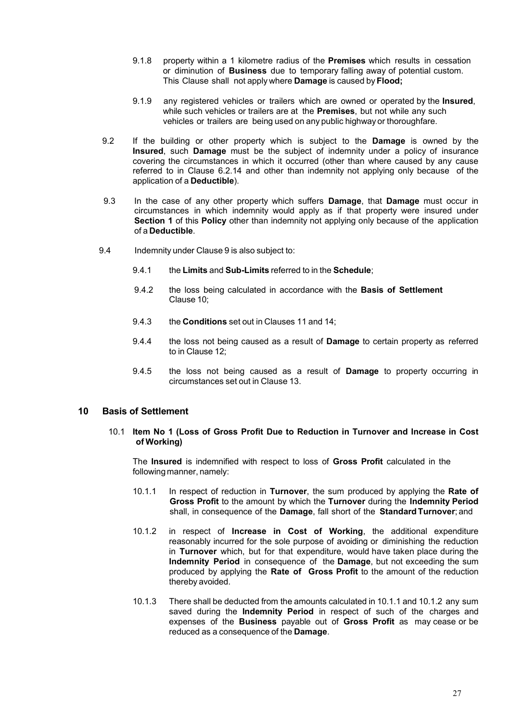- 9.1.8 property within a 1 kilometre radius of the **Premises** which results in cessation or diminution of **Business** due to temporary falling away of potential custom. This Clause shall not apply where **Damage** is caused by **Flood;**
- 9.1.9 any registered vehicles or trailers which are owned or operated by the **Insured**, while such vehicles or trailers are at the **Premises**, but not while any such vehicles or trailers are being used on any public highway or thoroughfare.
- 9.2 If the building or other property which is subject to the **Damage** is owned by the **Insured**, such **Damage** must be the subject of indemnity under a policy of insurance covering the circumstances in which it occurred (other than where caused by any cause referred to in Clause 6.2.14 and other than indemnity not applying only because of the application of a **Deductible**).
- 9.3 In the case of any other property which suffers **Damage**, that **Damage** must occur in circumstances in which indemnity would apply as if that property were insured under **Section 1** of this **Policy** other than indemnity not applying only because of the application of a **Deductible**.
- 9.4 Indemnity under Clause 9 is also subject to:
	- 9.4.1 the **Limits** and **Sub-Limits** referred to in the **Schedule**;
	- 9.4.2 the loss being calculated in accordance with the **Basis of Settlement** Clause 10;
	- 9.4.3 the **Conditions** set out in Clauses 11 and 14;
	- 9.4.4 the loss not being caused as a result of **Damage** to certain property as referred to in Clause 12;
	- 9.4.5 the loss not being caused as a result of **Damage** to property occurring in circumstances set out in Clause 13.

#### <span id="page-27-0"></span>**10 Basis of Settlement**

#### 10.1 **Item No 1 (Loss of Gross Profit Due to Reduction in Turnover and Increase in Cost of Working)**

The **Insured** is indemnified with respect to loss of **Gross Profit** calculated in the following manner, namely:

- 10.1.1 In respect of reduction in **Turnover**, the sum produced by applying the **Rate of Gross Profit** to the amount by which the **Turnover** during the **Indemnity Period** shall, in consequence of the **Damage**, fall short of the **StandardTurnover**; and
- 10.1.2 in respect of **Increase in Cost of Working**, the additional expenditure reasonably incurred for the sole purpose of avoiding or diminishing the reduction in **Turnover** which, but for that expenditure, would have taken place during the **Indemnity Period** in consequence of the **Damage**, but not exceeding the sum produced by applying the **Rate of Gross Profit** to the amount of the reduction thereby avoided.
- 10.1.3 There shall be deducted from the amounts calculated in 10.1.1 and 10.1.2 any sum saved during the **Indemnity Period** in respect of such of the charges and expenses of the **Business** payable out of **Gross Profit** as may cease or be reduced as a consequence of the **Damage**.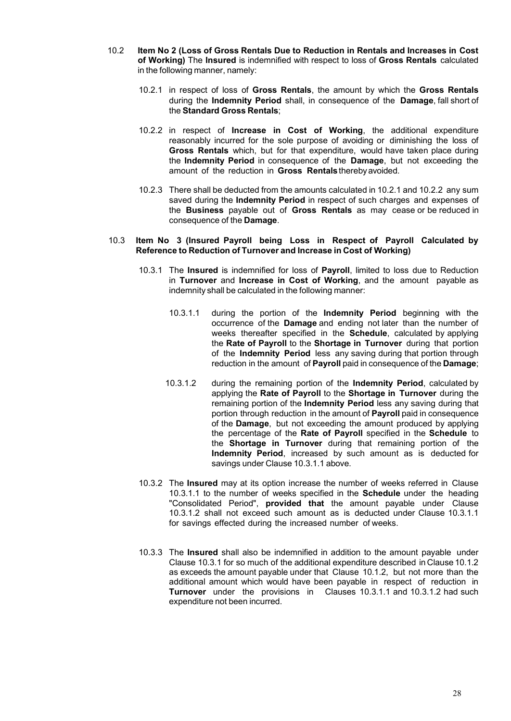- 10.2 **Item No 2 (Loss of Gross Rentals Due to Reduction in Rentals and Increases in Cost of Working)** The **Insured** is indemnified with respect to loss of **Gross Rentals** calculated in the following manner, namely:
	- 10.2.1 in respect of loss of **Gross Rentals**, the amount by which the **Gross Rentals** during the **Indemnity Period** shall, in consequence of the **Damage**, fall short of the **Standard Gross Rentals**;
	- 10.2.2 in respect of **Increase in Cost of Working**, the additional expenditure reasonably incurred for the sole purpose of avoiding or diminishing the loss of **Gross Rentals** which, but for that expenditure, would have taken place during the **Indemnity Period** in consequence of the **Damage**, but not exceeding the amount of the reduction in **Gross Rentals** therebyavoided.
	- 10.2.3 There shall be deducted from the amounts calculated in 10.2.1 and 10.2.2 any sum saved during the **Indemnity Period** in respect of such charges and expenses of the **Business** payable out of **Gross Rentals** as may cease or be reduced in consequence of the **Damage**.

#### 10.3 **Item No 3 (Insured Payroll being Loss in Respect of Payroll Calculated by Reference to Reduction of Turnover and Increase in Cost of Working)**

- 10.3.1 The **Insured** is indemnified for loss of **Payroll**, limited to loss due to Reduction in **Turnover** and **Increase in Cost of Working**, and the amount payable as indemnity shall be calculated in the following manner:
	- 10.3.1.1 during the portion of the **Indemnity Period** beginning with the occurrence of the **Damage** and ending not later than the number of weeks thereafter specified in the **Schedule**, calculated by applying the **Rate of Payroll** to the **Shortage in Turnover** during that portion of the **Indemnity Period** less any saving during that portion through reduction in the amount of **Payroll** paid in consequence of the **Damage**;
	- 10.3.1.2 during the remaining portion of the **Indemnity Period**, calculated by applying the **Rate of Payroll** to the **Shortage in Turnover** during the remaining portion of the **Indemnity Period** less any saving during that portion through reduction in the amount of **Payroll** paid in consequence of the **Damage**, but not exceeding the amount produced by applying the percentage of the **Rate of Payroll** specified in the **Schedule** to the **Shortage in Turnover** during that remaining portion of the **Indemnity Period**, increased by such amount as is deducted for savings under Clause 10.3.1.1 above.
- 10.3.2 The **Insured** may at its option increase the number of weeks referred in Clause 10.3.1.1 to the number of weeks specified in the **Schedule** under the heading "Consolidated Period", **provided that** the amount payable under Clause 10.3.1.2 shall not exceed such amount as is deducted under Clause 10.3.1.1 for savings effected during the increased number of weeks.
- 10.3.3 The **Insured** shall also be indemnified in addition to the amount payable under Clause 10.3.1 for so much of the additional expenditure described in Clause 10.1.2 as exceeds the amount payable under that Clause 10.1.2, but not more than the additional amount which would have been payable in respect of reduction in **Turnover** under the provisions in Clauses 10.3.1.1 and 10.3.1.2 had such expenditure not been incurred.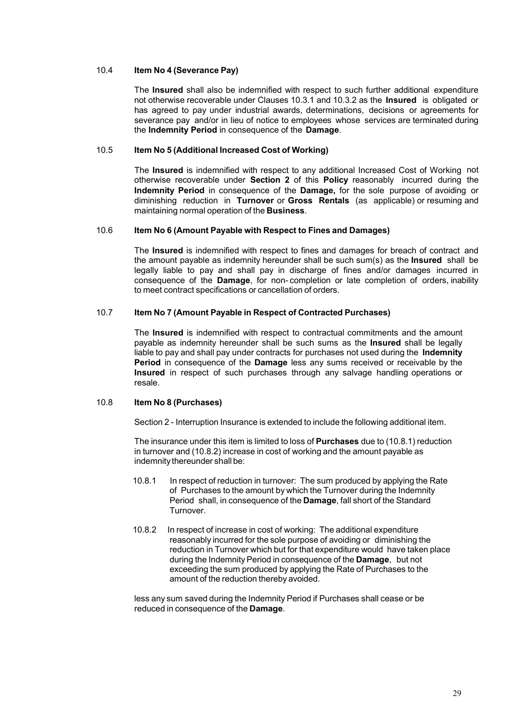#### 10.4 **Item No 4 (Severance Pay)**

The **Insured** shall also be indemnified with respect to such further additional expenditure not otherwise recoverable under Clauses 10.3.1 and 10.3.2 as the **Insured** is obligated or has agreed to pay under industrial awards, determinations, decisions or agreements for severance pay and/or in lieu of notice to employees whose services are terminated during the **Indemnity Period** in consequence of the **Damage**.

#### 10.5 **Item No 5 (Additional Increased Cost of Working)**

The **Insured** is indemnified with respect to any additional Increased Cost of Working not otherwise recoverable under **Section 2** of this **Policy** reasonably incurred during the **Indemnity Period** in consequence of the **Damage,** for the sole purpose of avoiding or diminishing reduction in **Turnover** or **Gross Rentals** (as applicable) or resuming and maintaining normal operation of the **Business**.

#### 10.6 **Item No 6 (Amount Payable with Respect to Fines and Damages)**

The **Insured** is indemnified with respect to fines and damages for breach of contract and the amount payable as indemnity hereunder shall be such sum(s) as the **Insured** shall be legally liable to pay and shall pay in discharge of fines and/or damages incurred in consequence of the **Damage**, for non- completion or late completion of orders, inability to meet contract specifications or cancellation of orders.

#### 10.7 **Item No 7 (Amount Payable in Respect of Contracted Purchases)**

The **Insured** is indemnified with respect to contractual commitments and the amount payable as indemnity hereunder shall be such sums as the **Insured** shall be legally liable to pay and shall pay under contracts for purchases not used during the **Indemnity Period** in consequence of the **Damage** less any sums received or receivable by the **Insured** in respect of such purchases through any salvage handling operations or resale.

#### 10.8 **Item No 8 (Purchases)**

Section 2 - Interruption Insurance is extended to include the following additional item.

The insurance under this item is limited to loss of **Purchases** due to (10.8.1) reduction in turnover and (10.8.2) increase in cost of working and the amount payable as indemnity thereunder shall be:

- 10.8.1 In respect of reduction in turnover: The sum produced by applying the Rate of Purchases to the amount by which the Turnover during the Indemnity Period shall, in consequence of the **Damage**, fall short of the Standard **Turnover**
- 10.8.2 In respect of increase in cost of working: The additional expenditure reasonably incurred for the sole purpose of avoiding or diminishing the reduction in Turnover which but for that expenditure would have taken place during the Indemnity Period in consequence of the **Damage**, but not exceeding the sum produced by applying the Rate of Purchases to the amount of the reduction thereby avoided.

less any sum saved during the Indemnity Period if Purchases shall cease or be reduced in consequence of the **Damage**.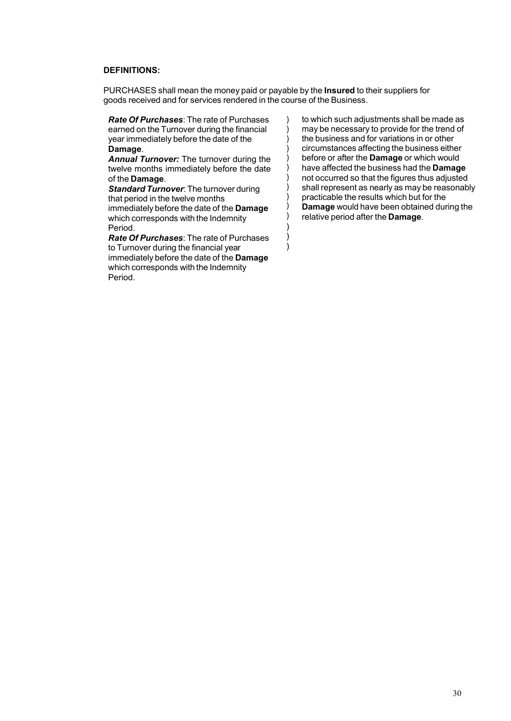#### **DEFINITIONS:**

PURCHASES shall mean the money paid or payable by the **Insured** to their suppliers for goods received and for services rendered in the course of the Business.

> ) ) )

*Rate Of Purchases*: The rate of Purchases earned on the Turnover during the financial year immediately before the date of the **Damage**.

*Annual Turnover:* The turnover during the twelve months immediately before the date of the **Damage**.

*Standard Turnover*: The turnover during that period in the twelve months immediately before the date of the **Damage** which corresponds with the Indemnity Period.

*Rate Of Purchases*: The rate of Purchases to Turnover during the financial year immediately before the date of the **Damage** which corresponds with the Indemnity Period.

) to which such adjustments shall be made as ) may be necessary to provide for the trend of ) the business and for variations in or other ) circumstances affecting the business either ) before or after the **Damage** or which would ) have affected the business had the **Damage** ) not occurred so that the figures thus adjusted ) shall represent as nearly as may be reasonably ) practicable the results which but for the ) **Damage** would have been obtained during the ) relative period after the **Damage**.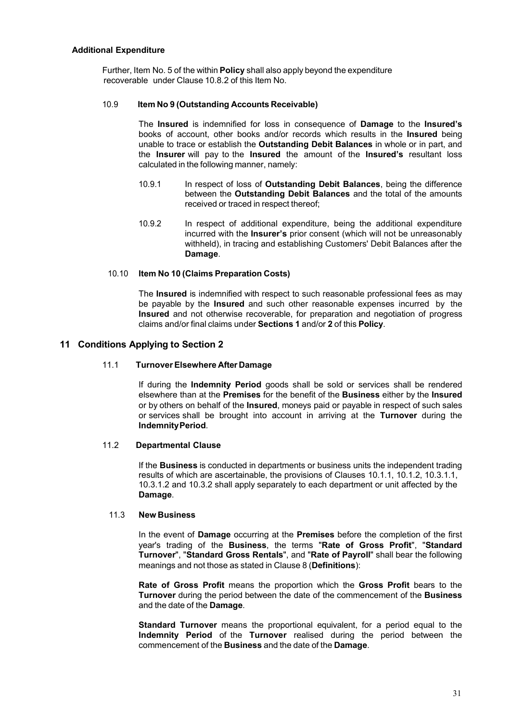#### **Additional Expenditure**

Further, Item No. 5 of the within **Policy** shall also apply beyond the expenditure recoverable under Clause 10.8.2 of this Item No.

#### 10.9 **Item No 9 (Outstanding Accounts Receivable)**

The **Insured** is indemnified for loss in consequence of **Damage** to the **Insured's** books of account, other books and/or records which results in the **Insured** being unable to trace or establish the **Outstanding Debit Balances** in whole or in part, and the **Insurer** will pay to the **Insured** the amount of the **Insured's** resultant loss calculated in the following manner, namely:

- 10.9.1 In respect of loss of **Outstanding Debit Balances**, being the difference between the **Outstanding Debit Balances** and the total of the amounts received or traced in respect thereof;
- 10.9.2 In respect of additional expenditure, being the additional expenditure incurred with the **Insurer's** prior consent (which will not be unreasonably withheld), in tracing and establishing Customers' Debit Balances after the **Damage**.

#### 10.10 **Item No 10 (Claims Preparation Costs)**

The **Insured** is indemnified with respect to such reasonable professional fees as may be payable by the **Insured** and such other reasonable expenses incurred by the **Insured** and not otherwise recoverable, for preparation and negotiation of progress claims and/or final claims under **Sections 1** and/or **2** of this **Policy**.

#### <span id="page-31-0"></span>**11 Conditions Applying to Section 2**

#### 11.1 **TurnoverElsewhere After Damage**

If during the **Indemnity Period** goods shall be sold or services shall be rendered elsewhere than at the **Premises** for the benefit of the **Business** either by the **Insured** or by others on behalf of the **Insured**, moneys paid or payable in respect of such sales or services shall be brought into account in arriving at the **Turnover** during the **IndemnityPeriod**.

#### 11.2 **Departmental Clause**

If the **Business** is conducted in departments or business units the independent trading results of which are ascertainable, the provisions of Clauses 10.1.1, 10.1.2, 10.3.1.1, 10.3.1.2 and 10.3.2 shall apply separately to each department or unit affected by the **Damage**.

#### 11.3 **New Business**

In the event of **Damage** occurring at the **Premises** before the completion of the first year's trading of the **Business**, the terms "**Rate of Gross Profit**", "**Standard Turnover**", "**Standard Gross Rentals**", and "**Rate of Payroll**" shall bear the following meanings and not those as stated in Clause 8 (**Definitions**):

**Rate of Gross Profit** means the proportion which the **Gross Profit** bears to the **Turnover** during the period between the date of the commencement of the **Business** and the date of the **Damage**.

**Standard Turnover** means the proportional equivalent, for a period equal to the **Indemnity Period** of the **Turnover** realised during the period between the commencement of the **Business** and the date of the **Damage**.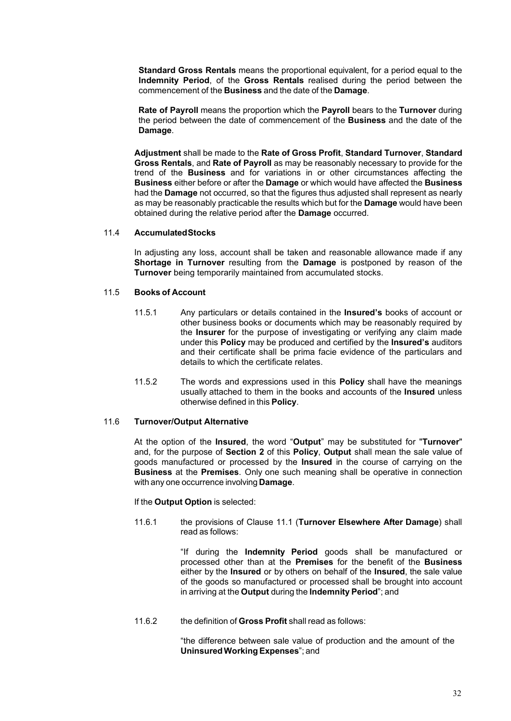**Standard Gross Rentals** means the proportional equivalent, for a period equal to the **Indemnity Period**, of the **Gross Rentals** realised during the period between the commencement of the **Business** and the date of the **Damage**.

**Rate of Payroll** means the proportion which the **Payroll** bears to the **Turnover** during the period between the date of commencement of the **Business** and the date of the **Damage**.

**Adjustment** shall be made to the **Rate of Gross Profit**, **Standard Turnover**, **Standard Gross Rentals**, and **Rate of Payroll** as may be reasonably necessary to provide for the trend of the **Business** and for variations in or other circumstances affecting the **Business** either before or after the **Damage** or which would have affected the **Business** had the **Damage** not occurred, so that the figures thus adjusted shall represent as nearly as may be reasonably practicable the results which but for the **Damage** would have been obtained during the relative period after the **Damage** occurred.

#### 11.4 **AccumulatedStocks**

In adjusting any loss, account shall be taken and reasonable allowance made if any **Shortage in Turnover** resulting from the **Damage** is postponed by reason of the **Turnover** being temporarily maintained from accumulated stocks.

#### 11.5 **Books of Account**

- 11.5.1 Any particulars or details contained in the **Insured's** books of account or other business books or documents which may be reasonably required by the **Insurer** for the purpose of investigating or verifying any claim made under this **Policy** may be produced and certified by the **Insured's** auditors and their certificate shall be prima facie evidence of the particulars and details to which the certificate relates.
- 11.5.2 The words and expressions used in this **Policy** shall have the meanings usually attached to them in the books and accounts of the **Insured** unless otherwise defined in this **Policy**.

#### 11.6 **Turnover/Output Alternative**

At the option of the **Insured**, the word "**Output**" may be substituted for "**Turnover**" and, for the purpose of **Section 2** of this **Policy**, **Output** shall mean the sale value of goods manufactured or processed by the **Insured** in the course of carrying on the **Business** at the **Premises**. Only one such meaning shall be operative in connection with any one occurrence involving **Damage**.

#### If the **Output Option** is selected:

11.6.1 the provisions of Clause 11.1 (**Turnover Elsewhere After Damage**) shall read as follows:

> "If during the **Indemnity Period** goods shall be manufactured or processed other than at the **Premises** for the benefit of the **Business** either by the **Insured** or by others on behalf of the **Insured**, the sale value of the goods so manufactured or processed shall be brought into account in arriving at the **Output** during the **Indemnity Period**"; and

11.6.2 the definition of **Gross Profit** shall read as follows:

"the difference between sale value of production and the amount of the **Uninsured Working Expenses**"; and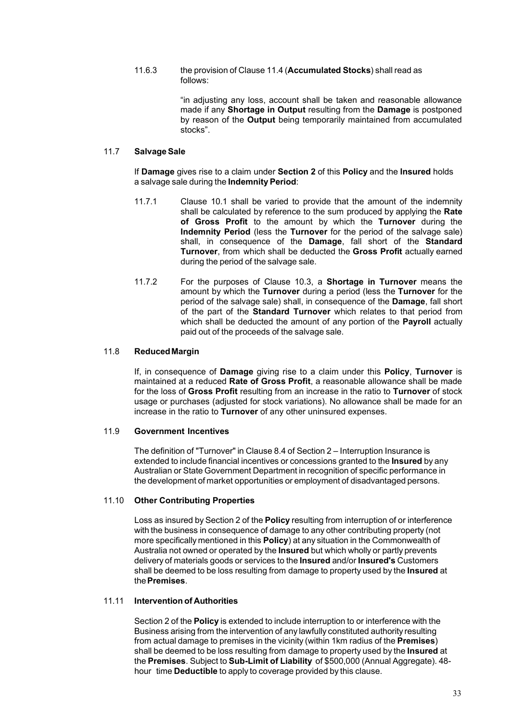#### 11.6.3 the provision of Clause 11.4 (**Accumulated Stocks**) shall read as follows:

"in adjusting any loss, account shall be taken and reasonable allowance made if any **Shortage in Output** resulting from the **Damage** is postponed by reason of the **Output** being temporarily maintained from accumulated stocks".

#### 11.7 **SalvageSale**

If **Damage** gives rise to a claim under **Section 2** of this **Policy** and the **Insured** holds a salvage sale during the **Indemnity Period**:

- 11.7.1 Clause 10.1 shall be varied to provide that the amount of the indemnity shall be calculated by reference to the sum produced by applying the **Rate of Gross Profit** to the amount by which the **Turnover** during the **Indemnity Period** (less the **Turnover** for the period of the salvage sale) shall, in consequence of the **Damage**, fall short of the **Standard Turnover**, from which shall be deducted the **Gross Profit** actually earned during the period of the salvage sale.
- 11.7.2 For the purposes of Clause 10.3, a **Shortage in Turnover** means the amount by which the **Turnover** during a period (less the **Turnover** for the period of the salvage sale) shall, in consequence of the **Damage**, fall short of the part of the **Standard Turnover** which relates to that period from which shall be deducted the amount of any portion of the **Payroll** actually paid out of the proceeds of the salvage sale.

#### 11.8 **ReducedMargin**

If, in consequence of **Damage** giving rise to a claim under this **Policy**, **Turnover** is maintained at a reduced **Rate of Gross Profit**, a reasonable allowance shall be made for the loss of **Gross Profit** resulting from an increase in the ratio to **Turnover** of stock usage or purchases (adjusted for stock variations). No allowance shall be made for an increase in the ratio to **Turnover** of any other uninsured expenses.

#### 11.9 **Government Incentives**

The definition of "Turnover" in Clause 8.4 of Section 2 – Interruption Insurance is extended to include financial incentives or concessions granted to the **Insured** by any Australian or State Government Department in recognition of specific performance in the development of market opportunities or employment of disadvantaged persons.

#### 11.10 **Other Contributing Properties**

Loss as insured by Section 2 of the **Policy** resulting from interruption of or interference with the business in consequence of damage to any other contributing property (not more specifically mentioned in this **Policy**) at any situation in the Commonwealth of Australia not owned or operated by the **Insured** but which wholly or partly prevents delivery of materials goods or services to the **Insured** and/or **Insured's** Customers shall be deemed to be loss resulting from damage to property used by the **Insured** at the**Premises**.

#### 11.11 **Intervention of Authorities**

Section 2 of the **Policy** is extended to include interruption to or interference with the Business arising from the intervention of any lawfully constituted authority resulting from actual damage to premises in the vicinity (within 1km radius of the **Premises**) shall be deemed to be loss resulting from damage to property used by the **Insured** at the **Premises**. Subject to **Sub-Limit of Liability** of \$500,000 (Annual Aggregate). 48 hour time **Deductible** to apply to coverage provided by this clause.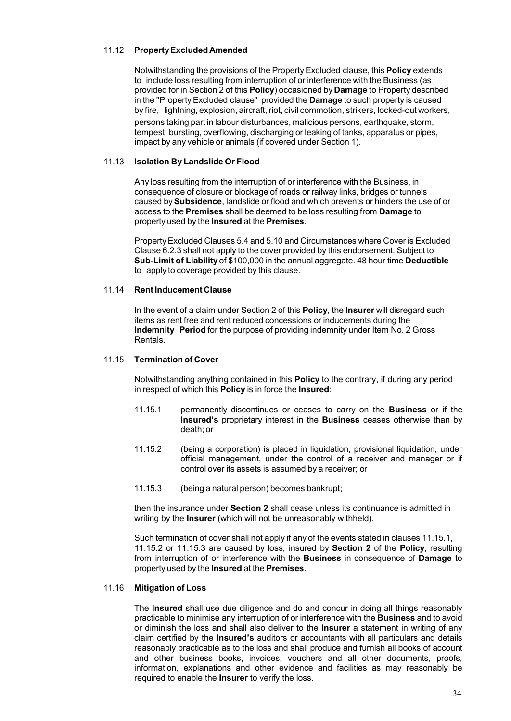#### 11.12 **PropertyExcluded Amended**

Notwithstanding the provisions of the PropertyExcluded clause, this **Policy** extends to include loss resulting from interruption of or interference with the Business (as provided for in Section 2 of this **Policy**) occasioned by **Damage** to Property described in the "Property Excluded clause" provided the **Damage** to such property is caused by fire, lightning, explosion, aircraft, riot, civil commotion, strikers, locked-out workers, persons taking part in labour disturbances, malicious persons, earthquake, storm, tempest, bursting, overflowing, discharging or leaking of tanks, apparatus or pipes, impact by any vehicle or animals (if covered under Section 1).

#### 11.13 **Isolation By Landslide Or Flood**

Any loss resulting from the interruption of or interference with the Business, in consequence of closure or blockage of roads or railway links, bridges or tunnels caused by**Subsidence**, landslide or flood and which prevents or hinders the use of or access to the **Premises** shall be deemed to be loss resulting from **Damage** to property used by the **Insured** at the **Premises**.

Property Excluded Clauses 5.4 and 5.10 and Circumstances where Cover is Excluded Clause 6.2.3 shall not apply to the cover provided by this endorsement. Subject to **Sub-Limit of Liability** of \$100,000 in the annual aggregate. 48 hour time **Deductible** to apply to coverage provided by this clause.

#### 11.14 **RentInducement Clause**

In the event of a claim under Section 2 of this **Policy**, the **Insurer** will disregard such items as rent free and rent reduced concessions or inducements during the **Indemnity Period** for the purpose of providing indemnity under Item No. 2 Gross Rentals.

#### 11.15 **Termination of Cover**

Notwithstanding anything contained in this **Policy** to the contrary, if during any period in respect of which this **Policy** is in force the **Insured**:

- 11.15.1 permanently discontinues or ceases to carry on the **Business** or if the **Insured's** proprietary interest in the **Business** ceases otherwise than by death; or
- 11.15.2 (being a corporation) is placed in liquidation, provisional liquidation, under official management, under the control of a receiver and manager or if control over its assets is assumed by a receiver; or
- 11.15.3 (being a natural person) becomes bankrupt;

then the insurance under **Section 2** shall cease unless its continuance is admitted in writing by the **Insurer** (which will not be unreasonably withheld).

Such termination of cover shall not apply if any of the events stated in clauses 11.15.1, 11.15.2 or 11.15.3 are caused by loss, insured by **Section 2** of the **Policy**, resulting from interruption of or interference with the **Business** in consequence of **Damage** to property used by the **Insured** at the **Premises**.

#### 11.16 **Mitigation of Loss**

The **Insured** shall use due diligence and do and concur in doing all things reasonably practicable to minimise any interruption of or interference with the **Business** and to avoid or diminish the loss and shall also deliver to the **Insurer** a statement in writing of any claim certified by the **Insured's** auditors or accountants with all particulars and details reasonably practicable as to the loss and shall produce and furnish all books of account and other business books, invoices, vouchers and all other documents, proofs, information, explanations and other evidence and facilities as may reasonably be required to enable the **Insurer** to verify the loss.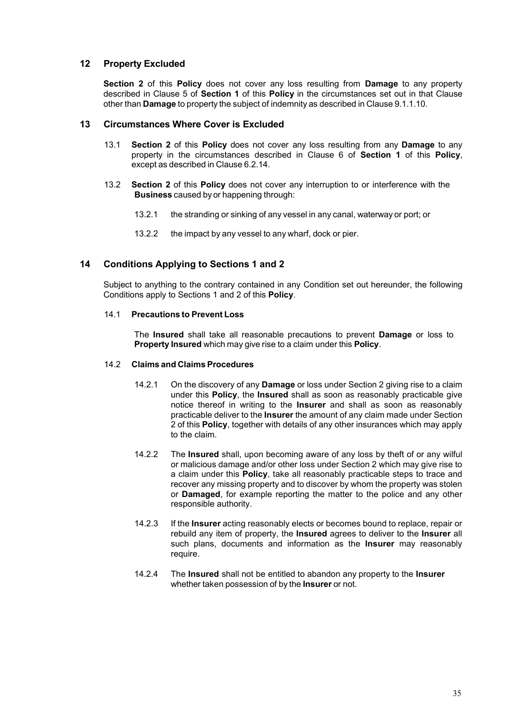#### <span id="page-35-0"></span>**12 Property Excluded**

**Section 2** of this **Policy** does not cover any loss resulting from **Damage** to any property described in Clause 5 of **Section 1** of this **Policy** in the circumstances set out in that Clause other than **Damage** to property the subject of indemnity as described in Clause 9.1.1.10.

#### <span id="page-35-1"></span>**13 Circumstances Where Cover is Excluded**

- 13.1 **Section 2** of this **Policy** does not cover any loss resulting from any **Damage** to any property in the circumstances described in Clause 6 of **Section 1** of this **Policy**, except as described in Clause 6.2.14.
- 13.2 **Section 2** of this **Policy** does not cover any interruption to or interference with the **Business** caused by or happening through:
	- 13.2.1 the stranding or sinking of any vessel in any canal, waterway or port; or
	- 13.2.2 the impact by any vessel to any wharf, dock or pier.

#### <span id="page-35-2"></span>**14 Conditions Applying to Sections 1 and 2**

Subject to anything to the contrary contained in any Condition set out hereunder, the following Conditions apply to Sections 1 and 2 of this **Policy**.

#### 14.1 **Precautions to Prevent Loss**

The **Insured** shall take all reasonable precautions to prevent **Damage** or loss to **Property Insured** which may give rise to a claim under this **Policy**.

#### 14.2 **Claims and Claims Procedures**

- 14.2.1 On the discovery of any **Damage** or loss under Section 2 giving rise to a claim under this **Policy**, the **Insured** shall as soon as reasonably practicable give notice thereof in writing to the **Insurer** and shall as soon as reasonably practicable deliver to the **Insurer** the amount of any claim made under Section 2 of this **Policy**, together with details of any other insurances which may apply to the claim.
- 14.2.2 The **Insured** shall, upon becoming aware of any loss by theft of or any wilful or malicious damage and/or other loss under Section 2 which may give rise to a claim under this **Policy**, take all reasonably practicable steps to trace and recover any missing property and to discover by whom the property was stolen or **Damaged**, for example reporting the matter to the police and any other responsible authority.
- 14.2.3 If the **Insurer** acting reasonably elects or becomes bound to replace, repair or rebuild any item of property, the **Insured** agrees to deliver to the **Insurer** all such plans, documents and information as the **Insurer** may reasonably require.
- 14.2.4 The **Insured** shall not be entitled to abandon any property to the **Insurer** whether taken possession of by the **Insurer** or not.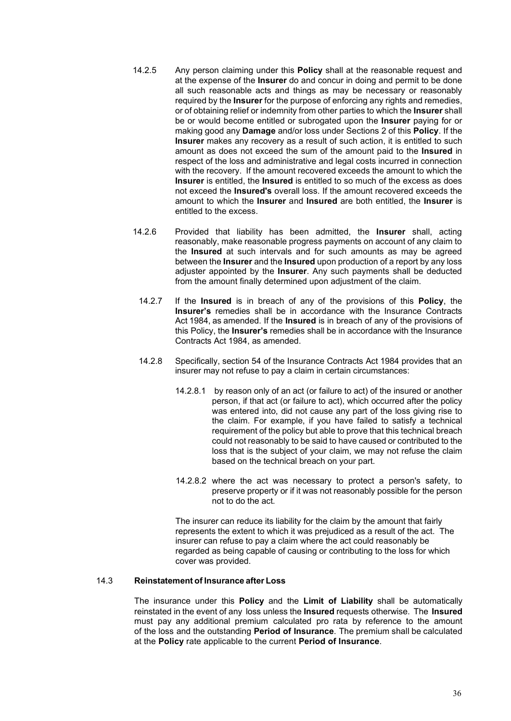- 14.2.5 Any person claiming under this **Policy** shall at the reasonable request and at the expense of the **Insurer** do and concur in doing and permit to be done all such reasonable acts and things as may be necessary or reasonably required by the **Insurer** for the purpose of enforcing any rights and remedies, or of obtaining relief or indemnity from other parties to which the **Insurer** shall be or would become entitled or subrogated upon the **Insurer** paying for or making good any **Damage** and/or loss under Sections 2 of this **Policy**. If the **Insurer** makes any recovery as a result of such action, it is entitled to such amount as does not exceed the sum of the amount paid to the **Insured** in respect of the loss and administrative and legal costs incurred in connection with the recovery. If the amount recovered exceeds the amount to which the **Insurer** is entitled, the **Insured** is entitled to so much of the excess as does not exceed the **Insured's** overall loss. If the amount recovered exceeds the amount to which the **Insurer** and **Insured** are both entitled, the **Insurer** is entitled to the excess.
- 14.2.6 Provided that liability has been admitted, the **Insurer** shall, acting reasonably, make reasonable progress payments on account of any claim to the **Insured** at such intervals and for such amounts as may be agreed between the **Insurer** and the **Insured** upon production of a report by any loss adjuster appointed by the **Insurer**. Any such payments shall be deducted from the amount finally determined upon adjustment of the claim.
	- 14.2.7 If the **Insured** is in breach of any of the provisions of this **Policy**, the **Insurer's** remedies shall be in accordance with the Insurance Contracts Act 1984, as amended. If the **Insured** is in breach of any of the provisions of this Policy, the **Insurer's** remedies shall be in accordance with the Insurance Contracts Act 1984, as amended.
	- 14.2.8 Specifically, section 54 of the Insurance Contracts Act 1984 provides that an insurer may not refuse to pay a claim in certain circumstances:
		- 14.2.8.1 by reason only of an act (or failure to act) of the insured or another person, if that act (or failure to act), which occurred after the policy was entered into, did not cause any part of the loss giving rise to the claim. For example, if you have failed to satisfy a technical requirement of the policy but able to prove that this technical breach could not reasonably to be said to have caused or contributed to the loss that is the subject of your claim, we may not refuse the claim based on the technical breach on your part.
		- 14.2.8.2 where the act was necessary to protect a person's safety, to preserve property or if it was not reasonably possible for the person not to do the act.

The insurer can reduce its liability for the claim by the amount that fairly represents the extent to which it was prejudiced as a result of the act. The insurer can refuse to pay a claim where the act could reasonably be regarded as being capable of causing or contributing to the loss for which cover was provided.

#### 14.3 **Reinstatement of Insurance after Loss**

The insurance under this **Policy** and the **Limit of Liability** shall be automatically reinstated in the event of any loss unless the **Insured** requests otherwise. The **Insured** must pay any additional premium calculated pro rata by reference to the amount of the loss and the outstanding **Period of Insurance**. The premium shall be calculated at the **Policy** rate applicable to the current **Period of Insurance**.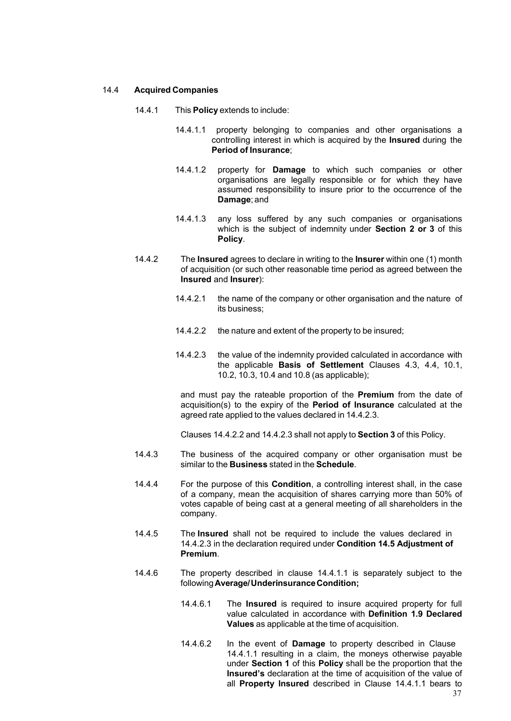#### 14.4 **Acquired Companies**

- 14.4.1 This **Policy** extends to include:
	- 14.4.1.1 property belonging to companies and other organisations a controlling interest in which is acquired by the **Insured** during the **Period of Insurance**;
	- 14.4.1.2 property for **Damage** to which such companies or other organisations are legally responsible or for which they have assumed responsibility to insure prior to the occurrence of the **Damage**; and
	- 14.4.1.3 any loss suffered by any such companies or organisations which is the subject of indemnity under **Section 2 or 3** of this **Policy**.
- 14.4.2 The **Insured** agrees to declare in writing to the **Insurer** within one (1) month of acquisition (or such other reasonable time period as agreed between the **Insured** and **Insurer**):
	- 14.4.2.1 the name of the company or other organisation and the nature of its business;
	- 14.4.2.2 the nature and extent of the property to be insured;
	- 14.4.2.3 the value of the indemnity provided calculated in accordance with the applicable **Basis of Settlement** Clauses 4.3, 4.4, 10.1, 10.2, 10.3, 10.4 and 10.8 (as applicable);

and must pay the rateable proportion of the **Premium** from the date of acquisition(s) to the expiry of the **Period of Insurance** calculated at the agreed rate applied to the values declared in 14.4.2.3.

Clauses 14.4.2.2 and 14.4.2.3 shall not apply to **Section 3** of this Policy.

- 14.4.3 The business of the acquired company or other organisation must be similar to the **Business** stated in the **Schedule**.
- 14.4.4 For the purpose of this **Condition**, a controlling interest shall, in the case of a company, mean the acquisition of shares carrying more than 50% of votes capable of being cast at a general meeting of all shareholders in the company.
- 14.4.5 The **Insured** shall not be required to include the values declared in 14.4.2.3 in the declaration required under **Condition 14.5 Adjustment of Premium**.
- 14.4.6 The property described in clause 14.4.1.1 is separately subject to the following**Average/UnderinsuranceCondition;**
	- 14.4.6.1 The **Insured** is required to insure acquired property for full value calculated in accordance with **Definition 1.9 Declared Values** as applicable at the time of acquisition.
	- 14.4.6.2 In the event of **Damage** to property described in Clause 14.4.1.1 resulting in a claim, the moneys otherwise payable under **Section 1** of this **Policy** shall be the proportion that the **Insured's** declaration at the time of acquisition of the value of all **Property Insured** described in Clause 14.4.1.1 bears to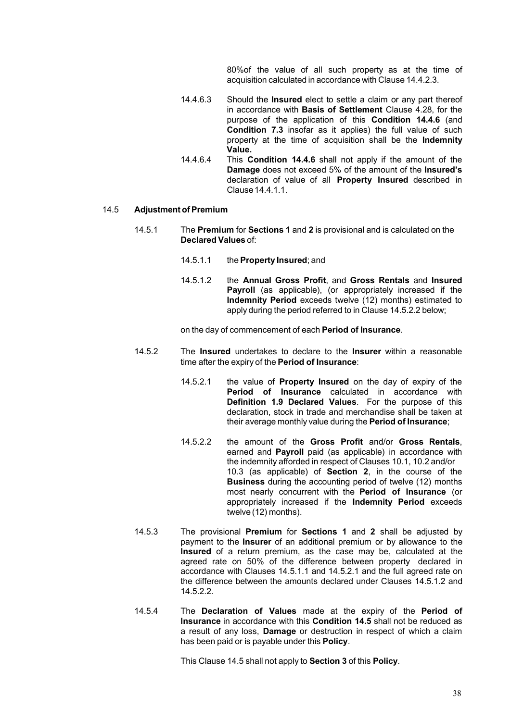80%of the value of all such property as at the time of acquisition calculated in accordance with Clause 14.4.2.3.

- 14.4.6.3 Should the **Insured** elect to settle a claim or any part thereof in accordance with **Basis of Settlement** Clause 4.28, for the purpose of the application of this **Condition 14.4.6** (and **Condition 7.3** insofar as it applies) the full value of such property at the time of acquisition shall be the **Indemnity Value.**
- 14.4.6.4 This **Condition 14.4.6** shall not apply if the amount of the **Damage** does not exceed 5% of the amount of the **Insured's** declaration of value of all **Property Insured** described in Clause14.4.1.1.

#### 14.5 **Adjustment ofPremium**

- 14.5.1 The **Premium** for **Sections 1** and **2** is provisional and is calculated on the **Declared Values** of:
	- 14.5.1.1 the **Property Insured**; and
	- 14.5.1.2 the **Annual Gross Profit**, and **Gross Rentals** and **Insured Payroll** (as applicable), (or appropriately increased if the **Indemnity Period** exceeds twelve (12) months) estimated to apply during the period referred to in Clause 14.5.2.2 below;

on the day of commencement of each **Period of Insurance**.

- 14.5.2 The **Insured** undertakes to declare to the **Insurer** within a reasonable time after the expiry of the **Period of Insurance**:
	- 14.5.2.1 the value of **Property Insured** on the day of expiry of the **Period of Insurance** calculated in accordance with **Definition 1.9 Declared Values**. For the purpose of this declaration, stock in trade and merchandise shall be taken at their average monthly value during the **Period of Insurance**;
	- 14.5.2.2 the amount of the **Gross Profit** and/or **Gross Rentals**, earned and **Payroll** paid (as applicable) in accordance with the indemnity afforded in respect of Clauses 10.1, 10.2 and/or 10.3 (as applicable) of **Section 2**, in the course of the **Business** during the accounting period of twelve (12) months most nearly concurrent with the **Period of Insurance** (or appropriately increased if the **Indemnity Period** exceeds twelve (12) months).
- 14.5.3 The provisional **Premium** for **Sections 1** and **2** shall be adjusted by payment to the **Insurer** of an additional premium or by allowance to the **Insured** of a return premium, as the case may be, calculated at the agreed rate on 50% of the difference between property declared in accordance with Clauses 14.5.1.1 and 14.5.2.1 and the full agreed rate on the difference between the amounts declared under Clauses 14.5.1.2 and 14.5.2.2.
- 14.5.4 The **Declaration of Values** made at the expiry of the **Period of Insurance** in accordance with this **Condition 14.5** shall not be reduced as a result of any loss, **Damage** or destruction in respect of which a claim has been paid or is payable under this **Policy**.

This Clause 14.5 shall not apply to **Section 3** of this **Policy**.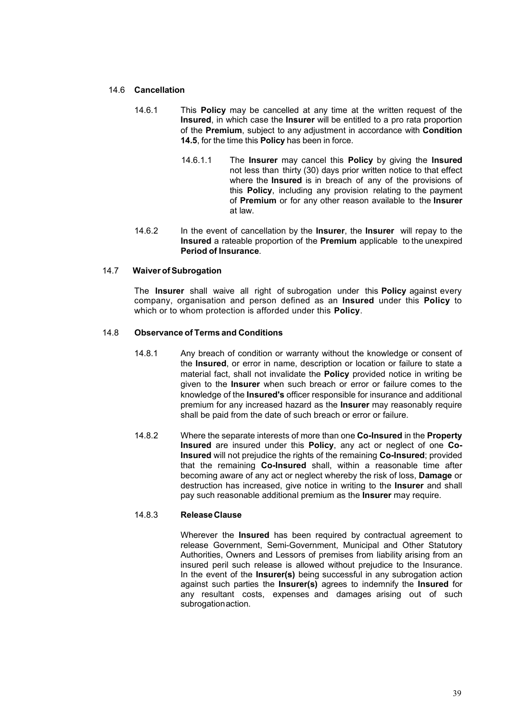#### 14.6 **Cancellation**

- 14.6.1 This **Policy** may be cancelled at any time at the written request of the **Insured**, in which case the **Insurer** will be entitled to a pro rata proportion of the **Premium**, subject to any adjustment in accordance with **Condition 14.5**, for the time this **Policy** has been in force.
	- 14.6.1.1 The **Insurer** may cancel this **Policy** by giving the **Insured** not less than thirty (30) days prior written notice to that effect where the **Insured** is in breach of any of the provisions of this **Policy**, including any provision relating to the payment of **Premium** or for any other reason available to the **Insurer** at law.
- 14.6.2 In the event of cancellation by the **Insurer**, the **Insurer** will repay to the **Insured** a rateable proportion of the **Premium** applicable to the unexpired **Period of Insurance**.

#### 14.7 **Waiver ofSubrogation**

The **Insurer** shall waive all right of subrogation under this **Policy** against every company, organisation and person defined as an **Insured** under this **Policy** to which or to whom protection is afforded under this **Policy**.

#### 14.8 **Observance of Terms and Conditions**

- 14.8.1 Any breach of condition or warranty without the knowledge or consent of the **Insured**, or error in name, description or location or failure to state a material fact, shall not invalidate the **Policy** provided notice in writing be given to the **Insurer** when such breach or error or failure comes to the knowledge of the **Insured's** officer responsible for insurance and additional premium for any increased hazard as the **Insurer** may reasonably require shall be paid from the date of such breach or error or failure.
- 14.8.2 Where the separate interests of more than one **Co-Insured** in the **Property Insured** are insured under this **Policy**, any act or neglect of one **Co-Insured** will not prejudice the rights of the remaining **Co-Insured**; provided that the remaining **Co-Insured** shall, within a reasonable time after becoming aware of any act or neglect whereby the risk of loss, **Damage** or destruction has increased, give notice in writing to the **Insurer** and shall pay such reasonable additional premium as the **Insurer** may require.

#### 14.8.3 **ReleaseClause**

Wherever the **Insured** has been required by contractual agreement to release Government, Semi-Government, Municipal and Other Statutory Authorities, Owners and Lessors of premises from liability arising from an insured peril such release is allowed without prejudice to the Insurance. In the event of the **Insurer(s)** being successful in any subrogation action against such parties the **Insurer(s)** agrees to indemnify the **Insured** for any resultant costs, expenses and damages arising out of such subrogation action.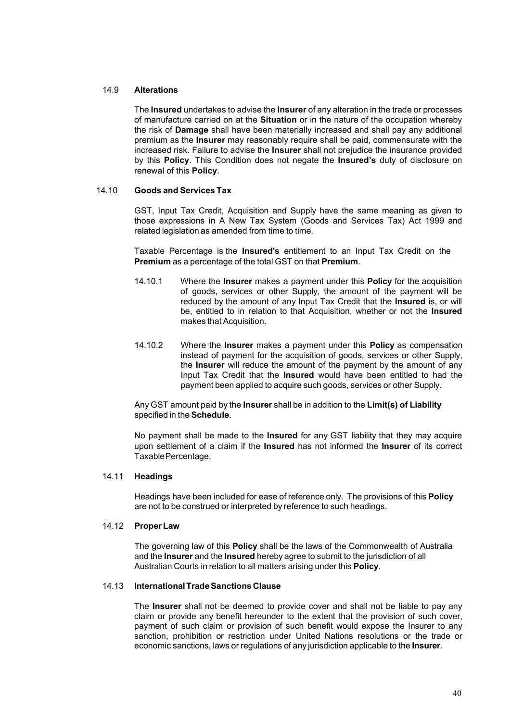#### 14.9 **Alterations**

The **Insured** undertakes to advise the **Insurer** of any alteration in the trade or processes of manufacture carried on at the **Situation** or in the nature of the occupation whereby the risk of **Damage** shall have been materially increased and shall pay any additional premium as the **Insurer** may reasonably require shall be paid, commensurate with the increased risk. Failure to advise the **Insurer** shall not prejudice the insurance provided by this **Policy**. This Condition does not negate the **Insured's** duty of disclosure on renewal of this **Policy**.

#### 14.10 **Goods and Services Tax**

GST, Input Tax Credit, Acquisition and Supply have the same meaning as given to those expressions in A New Tax System (Goods and Services Tax) Act 1999 and related legislation as amended from time to time.

Taxable Percentage is the **Insured's** entitlement to an Input Tax Credit on the **Premium** as a percentage of the total GST on that **Premium**.

- 14.10.1 Where the **Insurer** makes a payment under this **Policy** for the acquisition of goods, services or other Supply, the amount of the payment will be reduced by the amount of any Input Tax Credit that the **Insured** is, or will be, entitled to in relation to that Acquisition, whether or not the **Insured** makes that Acquisition.
- 14.10.2 Where the **Insurer** makes a payment under this **Policy** as compensation instead of payment for the acquisition of goods, services or other Supply, the **Insurer** will reduce the amount of the payment by the amount of any Input Tax Credit that the **Insured** would have been entitled to had the payment been applied to acquire such goods, services or other Supply.

Any GST amount paid by the **Insurer** shall be in addition to the **Limit(s) of Liability** specified in the **Schedule**.

No payment shall be made to the **Insured** for any GST liability that they may acquire upon settlement of a claim if the **Insured** has not informed the **Insurer** of its correct TaxablePercentage.

#### 14.11 **Headings**

Headings have been included for ease of reference only. The provisions of this **Policy** are not to be construed or interpreted by reference to such headings.

#### 14.12 **ProperLaw**

The governing law of this **Policy** shall be the laws of the Commonwealth of Australia and the **Insurer** and the **Insured** hereby agree to submit to the jurisdiction of all Australian Courts in relation to all matters arising under this **Policy**.

#### 14.13 **InternationalTradeSanctions Clause**

The **Insurer** shall not be deemed to provide cover and shall not be liable to pay any claim or provide any benefit hereunder to the extent that the provision of such cover, payment of such claim or provision of such benefit would expose the Insurer to any sanction, prohibition or restriction under United Nations resolutions or the trade or economic sanctions, laws or regulations of any jurisdiction applicable to the **Insurer**.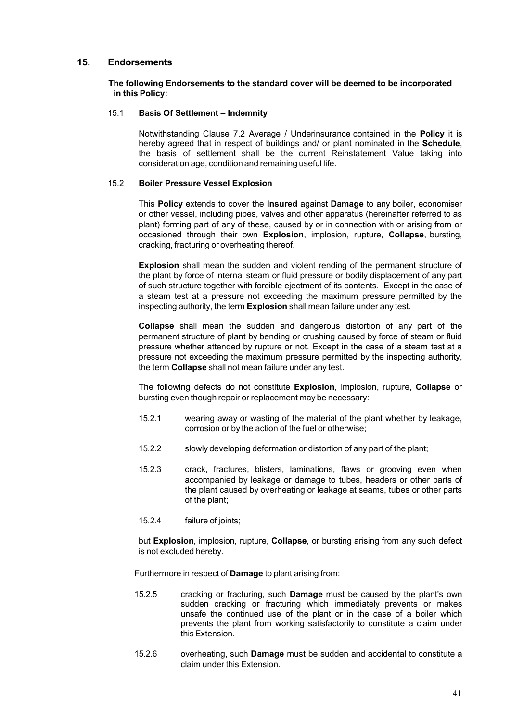#### <span id="page-41-0"></span>**15. Endorsements**

#### **The following Endorsements to the standard cover will be deemed to be incorporated in this Policy:**

#### 15.1 **Basis Of Settlement – Indemnity**

Notwithstanding Clause 7.2 Average / Underinsurance contained in the **Policy** it is hereby agreed that in respect of buildings and/ or plant nominated in the **Schedule**, the basis of settlement shall be the current Reinstatement Value taking into consideration age, condition and remaining useful life.

#### 15.2 **Boiler Pressure Vessel Explosion**

This **Policy** extends to cover the **Insured** against **Damage** to any boiler, economiser or other vessel, including pipes, valves and other apparatus (hereinafter referred to as plant) forming part of any of these, caused by or in connection with or arising from or occasioned through their own **Explosion**, implosion, rupture, **Collapse**, bursting, cracking, fracturing or overheating thereof.

**Explosion** shall mean the sudden and violent rending of the permanent structure of the plant by force of internal steam or fluid pressure or bodily displacement of any part of such structure together with forcible ejectment of its contents. Except in the case of a steam test at a pressure not exceeding the maximum pressure permitted by the inspecting authority, the term **Explosion** shall mean failure under any test.

**Collapse** shall mean the sudden and dangerous distortion of any part of the permanent structure of plant by bending or crushing caused by force of steam or fluid pressure whether attended by rupture or not. Except in the case of a steam test at a pressure not exceeding the maximum pressure permitted by the inspecting authority, the term **Collapse** shall not mean failure under any test.

The following defects do not constitute **Explosion**, implosion, rupture, **Collapse** or bursting even though repair or replacement may be necessary:

- 15.2.1 wearing away or wasting of the material of the plant whether by leakage, corrosion or by the action of the fuel or otherwise;
- 15.2.2 slowly developing deformation or distortion of any part of the plant;
- 15.2.3 crack, fractures, blisters, laminations, flaws or grooving even when accompanied by leakage or damage to tubes, headers or other parts of the plant caused by overheating or leakage at seams, tubes or other parts of the plant;
- 15.2.4 failure of joints;

but **Explosion**, implosion, rupture, **Collapse**, or bursting arising from any such defect is not excluded hereby.

Furthermore in respect of **Damage** to plant arising from:

- 15.2.5 cracking or fracturing, such **Damage** must be caused by the plant's own sudden cracking or fracturing which immediately prevents or makes unsafe the continued use of the plant or in the case of a boiler which prevents the plant from working satisfactorily to constitute a claim under this Extension.
- 15.2.6 overheating, such **Damage** must be sudden and accidental to constitute a claim under this Extension.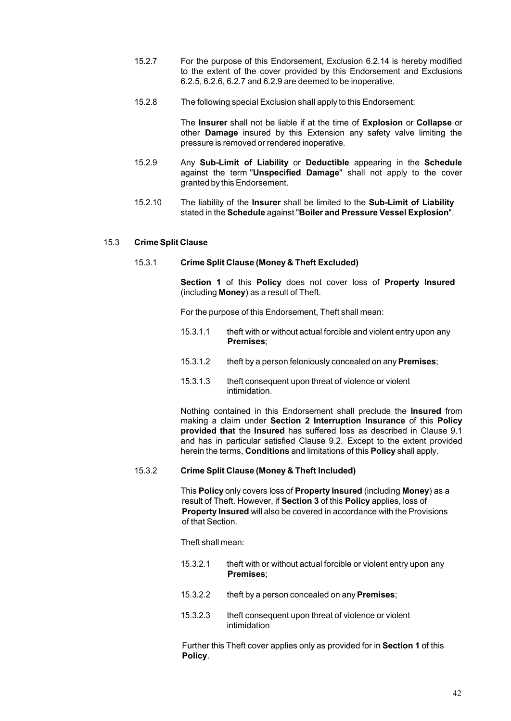- 15.2.7 For the purpose of this Endorsement, Exclusion 6.2.14 is hereby modified to the extent of the cover provided by this Endorsement and Exclusions 6.2.5, 6.2.6, 6.2.7 and 6.2.9 are deemed to be inoperative.
- 15.2.8 The following special Exclusion shall apply to this Endorsement:

The **Insurer** shall not be liable if at the time of **Explosion** or **Collapse** or other **Damage** insured by this Extension any safety valve limiting the pressure is removed or rendered inoperative.

- 15.2.9 Any **Sub-Limit of Liability** or **Deductible** appearing in the **Schedule** against the term "**Unspecified Damage**" shall not apply to the cover granted by this Endorsement.
- 15.2.10 The liability of the **Insurer** shall be limited to the **Sub-Limit of Liability** stated in the **Schedule** against "**Boiler and Pressure Vessel Explosion**".

#### 15.3 **Crime Split Clause**

#### 15.3.1 **Crime Split Clause (Money & Theft Excluded)**

**Section 1** of this **Policy** does not cover loss of **Property Insured** (including **Money**) as a result of Theft.

For the purpose of this Endorsement, Theft shall mean:

- 15.3.1.1 theft with or without actual forcible and violent entry upon any **Premises**;
- 15.3.1.2 theft by a person feloniously concealed on any **Premises**;
- 15.3.1.3 theft consequent upon threat of violence or violent intimidation.

Nothing contained in this Endorsement shall preclude the **Insured** from making a claim under **Section 2 Interruption Insurance** of this **Policy provided that** the **Insured** has suffered loss as described in Clause 9.1 and has in particular satisfied Clause 9.2. Except to the extent provided herein the terms, **Conditions** and limitations of this **Policy** shall apply.

#### 15.3.2 **Crime Split Clause (Money & Theft Included)**

This **Policy** only covers loss of **Property Insured** (including **Money**) as a result of Theft. However, if **Section 3** of this **Policy** applies, loss of **Property Insured** will also be covered in accordance with the Provisions of that Section.

Theft shall mean:

- 15.3.2.1 theft with or without actual forcible or violent entry upon any **Premises**;
- 15.3.2.2 theft by a person concealed on any **Premises**;
- 15.3.2.3 theft consequent upon threat of violence or violent intimidation

Further this Theft cover applies only as provided for in **Section 1** of this **Policy**.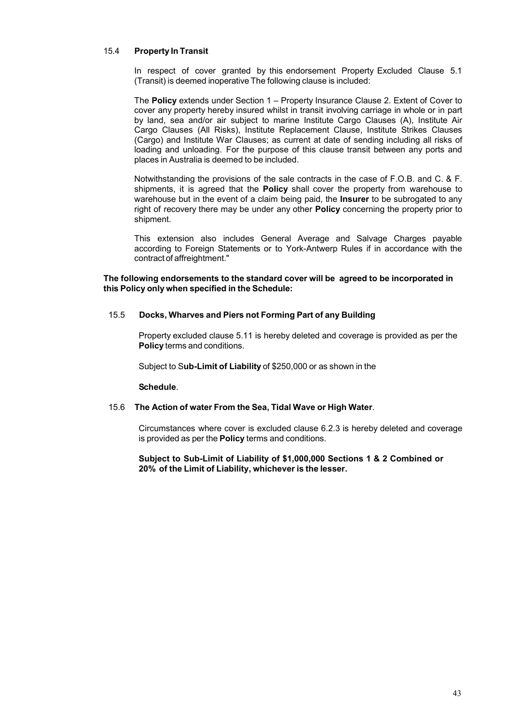#### 15.4 **Property In Transit**

In respect of cover granted by this endorsement Property Excluded Clause 5.1 (Transit) is deemed inoperative The following clause is included:

The **Policy** extends under Section 1 – Property Insurance Clause 2. Extent of Cover to cover any property hereby insured whilst in transit involving carriage in whole or in part by land, sea and/or air subject to marine Institute Cargo Clauses (A), Institute Air Cargo Clauses (All Risks), Institute Replacement Clause, Institute Strikes Clauses (Cargo) and Institute War Clauses; as current at date of sending including all risks of loading and unloading. For the purpose of this clause transit between any ports and places in Australia is deemed to be included.

Notwithstanding the provisions of the sale contracts in the case of F.O.B. and C. & F. shipments, it is agreed that the **Policy** shall cover the property from warehouse to warehouse but in the event of a claim being paid, the **Insurer** to be subrogated to any right of recovery there may be under any other **Policy** concerning the property prior to shipment.

This extension also includes General Average and Salvage Charges payable according to Foreign Statements or to York-Antwerp Rules if in accordance with the contract of affreightment."

**The following endorsements to the standard cover will be agreed to be incorporated in this Policy only when specified in the Schedule:**

#### 15.5 **Docks, Wharves and Piers not Forming Part of any Building**

Property excluded clause 5.11 is hereby deleted and coverage is provided as per the **Policy** terms and conditions.

Subject to S**ub-Limit of Liability** of \$250,000 or as shown in the

**Schedule**.

#### 15.6 **The Action of water From the Sea, Tidal Wave or High Water**.

Circumstances where cover is excluded clause 6.2.3 is hereby deleted and coverage is provided as per the **Policy** terms and conditions.

#### **Subject to Sub-Limit of Liability of \$1,000,000 Sections 1 & 2 Combined or 20% of the Limit of Liability, whichever is the lesser.**